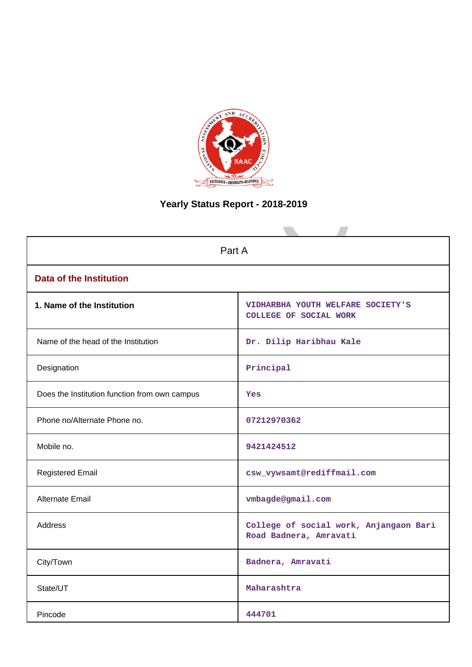

# **Yearly Status Report - 2018-2019**

| Part A                                        |                                                                    |  |  |  |
|-----------------------------------------------|--------------------------------------------------------------------|--|--|--|
| <b>Data of the Institution</b>                |                                                                    |  |  |  |
| 1. Name of the Institution                    | VIDHARBHA YOUTH WELFARE SOCIETY'S<br><b>COLLEGE OF SOCIAL WORK</b> |  |  |  |
| Name of the head of the Institution           | Dr. Dilip Haribhau Kale                                            |  |  |  |
| Designation                                   | Principal                                                          |  |  |  |
| Does the Institution function from own campus | <b>Yes</b>                                                         |  |  |  |
| Phone no/Alternate Phone no.                  | 07212970362                                                        |  |  |  |
| Mobile no.                                    | 9421424512                                                         |  |  |  |
| <b>Registered Email</b>                       | csw_vywsamt@rediffmail.com                                         |  |  |  |
| Alternate Email                               | vmbagde@gmail.com                                                  |  |  |  |
| <b>Address</b>                                | College of social work, Anjangaon Bari<br>Road Badnera, Amravati   |  |  |  |
| City/Town                                     | Badnera, Amravati                                                  |  |  |  |
| State/UT                                      | Maharashtra                                                        |  |  |  |
| Pincode                                       | 444701                                                             |  |  |  |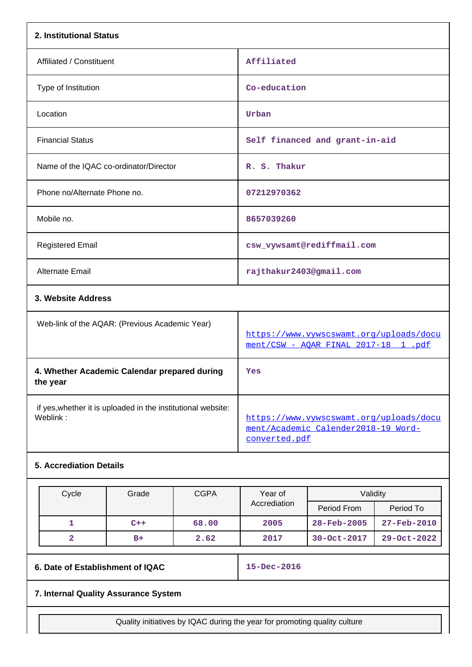| 2. Institutional Status                                                  |                                                                                                 |
|--------------------------------------------------------------------------|-------------------------------------------------------------------------------------------------|
| Affiliated / Constituent                                                 | Affiliated                                                                                      |
| Type of Institution                                                      | Co-education                                                                                    |
| Location                                                                 | Urban                                                                                           |
| <b>Financial Status</b>                                                  | Self financed and grant-in-aid                                                                  |
| Name of the IQAC co-ordinator/Director                                   | R. S. Thakur                                                                                    |
| Phone no/Alternate Phone no.                                             | 07212970362                                                                                     |
| Mobile no.                                                               | 8657039260                                                                                      |
| <b>Registered Email</b>                                                  | csw_vywsamt@rediffmail.com                                                                      |
| <b>Alternate Email</b>                                                   | rajthakur2403@gmail.com                                                                         |
| 3. Website Address                                                       |                                                                                                 |
| Web-link of the AQAR: (Previous Academic Year)                           | https://www.vywscswamt.org/uploads/docu<br>ment/CSW - AOAR FINAL 2017-18 1 .pdf                 |
| 4. Whether Academic Calendar prepared during<br>the year                 | Yes                                                                                             |
| if yes, whether it is uploaded in the institutional website:<br>Weblink: | https://www.vywscswamt.org/uploads/docu<br>ment/Academic Calender2018-19 Word-<br>converted.pdf |
| <b>5. Accrediation Details</b>                                           |                                                                                                 |

| Cycle | Grade | <b>CGPA</b> | Year of<br>Accrediation | Validity                 |                          |
|-------|-------|-------------|-------------------------|--------------------------|--------------------------|
|       |       |             |                         | Period From              | Period To                |
|       | $C++$ | 68.00       | 2005                    | $28 - \text{Feb} - 2005$ | $27 - \text{Feb} - 2010$ |
|       | $B+$  | 2.62        | 2017                    | 30-Oct-2017              | $29 - Oct - 2022$        |

**6. Date of Establishment of IQAC 15-Dec-2016**

# **7. Internal Quality Assurance System**

Quality initiatives by IQAC during the year for promoting quality culture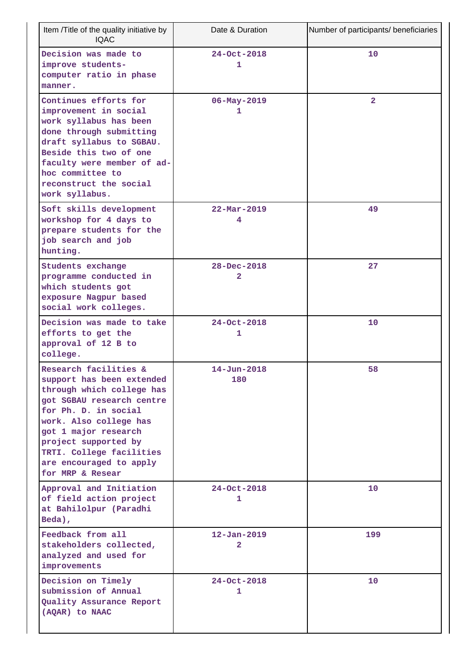| Item /Title of the quality initiative by<br><b>IQAC</b>                                                                                                                                                                                                                                   | Date & Duration               | Number of participants/ beneficiaries |
|-------------------------------------------------------------------------------------------------------------------------------------------------------------------------------------------------------------------------------------------------------------------------------------------|-------------------------------|---------------------------------------|
| Decision was made to<br>improve students-<br>computer ratio in phase<br>manner.                                                                                                                                                                                                           | $24 - Oct - 2018$<br>1        | 10                                    |
| Continues efforts for<br>improvement in social<br>work syllabus has been<br>done through submitting<br>draft syllabus to SGBAU.<br>Beside this two of one<br>faculty were member of ad-<br>hoc committee to<br>reconstruct the social<br>work syllabus.                                   | $06 - May - 2019$<br>1        | $\overline{2}$                        |
| Soft skills development<br>workshop for 4 days to<br>prepare students for the<br>job search and job<br>hunting.                                                                                                                                                                           | $22 - \text{Mar} - 2019$<br>4 | 49                                    |
| Students exchange<br>programme conducted in<br>which students got<br>exposure Nagpur based<br>social work colleges.                                                                                                                                                                       | $28 - Dec - 2018$<br>2        | 27                                    |
| Decision was made to take<br>efforts to get the<br>approval of 12 B to<br>college.                                                                                                                                                                                                        | $24 - Oct - 2018$<br>1        | 10                                    |
| Research facilities &<br>support has been extended<br>through which college has<br>got SGBAU research centre<br>for Ph. D. in social<br>work. Also college has<br>got 1 major research<br>project supported by<br>TRTI. College facilities<br>are encouraged to apply<br>for MRP & Resear | $14 - Jun - 2018$<br>180      | 58                                    |
| Approval and Initiation<br>of field action project<br>at Bahilolpur (Paradhi<br>Beda),                                                                                                                                                                                                    | $24 - Oct - 2018$<br>1        | 10                                    |
| Feedback from all<br>stakeholders collected,<br>analyzed and used for<br>improvements                                                                                                                                                                                                     | $12 - Jan - 2019$<br>2        | 199                                   |
| Decision on Timely<br>submission of Annual<br>Quality Assurance Report<br>(AQAR) to NAAC                                                                                                                                                                                                  | $24 - Oct - 2018$<br>1        | 10                                    |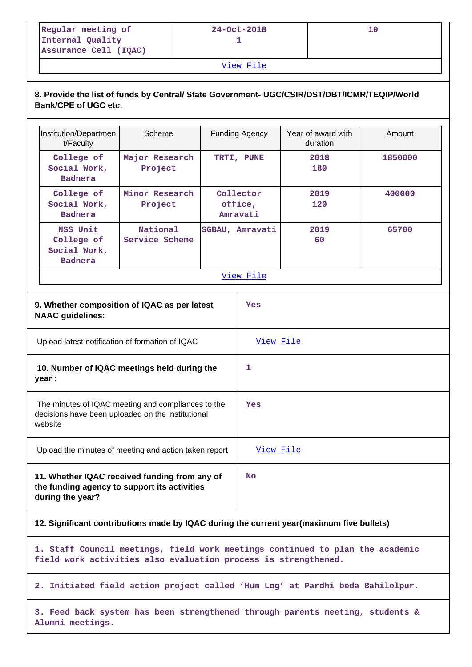| Regular meeting of    | 24-Oct-2018 |  |
|-----------------------|-------------|--|
| Internal Quality      |             |  |
| Assurance Cell (IQAC) |             |  |

[View File](https://assessmentonline.naac.gov.in/public/Postacc/Quality_Initiatives/4998_Quality_Initiatives.docx)

# **8. Provide the list of funds by Central/ State Government- UGC/CSIR/DST/DBT/ICMR/TEQIP/World Bank/CPE of UGC etc.**

| Institution/Departmen<br>t/Faculty                                                                                 | Scheme                     | <b>Funding Agency</b><br>TRTI, PUNE<br>Collector<br>office,<br>Amravati |                 | Year of award with<br>duration | Amount  |
|--------------------------------------------------------------------------------------------------------------------|----------------------------|-------------------------------------------------------------------------|-----------------|--------------------------------|---------|
| College of<br>Social Work,<br><b>Badnera</b>                                                                       | Major Research<br>Project  |                                                                         |                 | 2018<br>180                    | 1850000 |
| College of<br>Social Work,<br><b>Badnera</b>                                                                       | Minor Research<br>Project  |                                                                         |                 | 2019<br>120                    | 400000  |
| NSS Unit<br>College of<br>Social Work,<br><b>Badnera</b>                                                           | National<br>Service Scheme |                                                                         | SGBAU, Amravati | 2019<br>60                     | 65700   |
|                                                                                                                    |                            |                                                                         | View File       |                                |         |
| 9. Whether composition of IQAC as per latest<br><b>NAAC</b> guidelines:                                            |                            |                                                                         | Yes             |                                |         |
| Upload latest notification of formation of IQAC                                                                    |                            |                                                                         | View File       |                                |         |
| 10. Number of IQAC meetings held during the<br>year :                                                              |                            |                                                                         | 1               |                                |         |
| The minutes of IQAC meeting and compliances to the<br>decisions have been uploaded on the institutional<br>website |                            |                                                                         | Yes             |                                |         |
| Upload the minutes of meeting and action taken report                                                              |                            |                                                                         | View File       |                                |         |
| 11. Whether IQAC received funding from any of<br>the funding agency to support its activities<br>during the year?  |                            |                                                                         | <b>No</b>       |                                |         |

# **12. Significant contributions made by IQAC during the current year(maximum five bullets)**

**1. Staff Council meetings, field work meetings continued to plan the academic field work activities also evaluation process is strengthened.**

**2. Initiated field action project called 'Hum Log' at Pardhi beda Bahilolpur.**

**3. Feed back system has been strengthened through parents meeting, students & Alumni meetings.**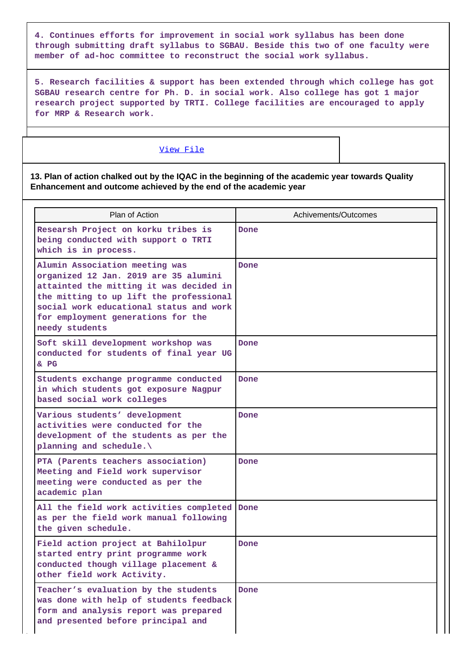**4. Continues efforts for improvement in social work syllabus has been done through submitting draft syllabus to SGBAU. Beside this two of one faculty were member of ad-hoc committee to reconstruct the social work syllabus.**

**5. Research facilities & support has been extended through which college has got SGBAU research centre for Ph. D. in social work. Also college has got 1 major research project supported by TRTI. College facilities are encouraged to apply for MRP & Research work.**

# [View File](https://assessmentonline.naac.gov.in/public/Postacc/Contribution/4998_Contribution.xlsx)

### **13. Plan of action chalked out by the IQAC in the beginning of the academic year towards Quality Enhancement and outcome achieved by the end of the academic year**

| Plan of Action                                                                                                                                                                                                                                                   | Achivements/Outcomes |
|------------------------------------------------------------------------------------------------------------------------------------------------------------------------------------------------------------------------------------------------------------------|----------------------|
| Researsh Project on korku tribes is<br>being conducted with support o TRTI<br>which is in process.                                                                                                                                                               | Done                 |
| Alumin Association meeting was<br>organized 12 Jan. 2019 are 35 alumini<br>attainted the mitting it was decided in<br>the mitting to up lift the professional<br>social work educational status and work<br>for employment generations for the<br>needy students | Done                 |
| Soft skill development workshop was<br>conducted for students of final year UG<br>$&$ PG                                                                                                                                                                         | Done                 |
| Students exchange programme conducted<br>in which students got exposure Nagpur<br>based social work colleges                                                                                                                                                     | Done                 |
| Various students' development<br>activities were conducted for the<br>development of the students as per the<br>planning and schedule.\                                                                                                                          | Done                 |
| PTA (Parents teachers association)<br>Meeting and Field work supervisor<br>meeting were conducted as per the<br>academic plan                                                                                                                                    | Done                 |
| All the field work activities completed Done<br>as per the field work manual following<br>the given schedule.                                                                                                                                                    |                      |
| Field action project at Bahilolpur<br>started entry print programme work<br>conducted though village placement &<br>other field work Activity.                                                                                                                   | Done                 |
| Teacher's evaluation by the students<br>was done with help of students feedback<br>form and analysis report was prepared<br>and presented before principal and                                                                                                   | Done                 |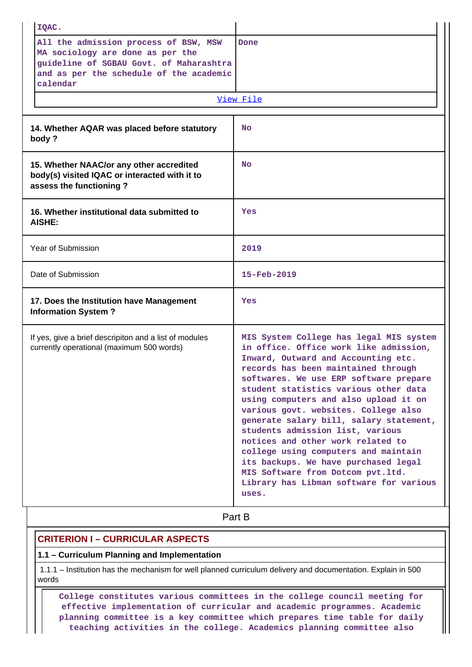|                    | IQAC.                                                                                                                                                                       |                                                                                                                                                                                                                                                                                                                                                                                                                                                                                                                                                                                                                                  |  |  |
|--------------------|-----------------------------------------------------------------------------------------------------------------------------------------------------------------------------|----------------------------------------------------------------------------------------------------------------------------------------------------------------------------------------------------------------------------------------------------------------------------------------------------------------------------------------------------------------------------------------------------------------------------------------------------------------------------------------------------------------------------------------------------------------------------------------------------------------------------------|--|--|
|                    | All the admission process of BSW, MSW<br>MA sociology are done as per the<br>guideline of SGBAU Govt. of Maharashtra<br>and as per the schedule of the academic<br>calendar | Done<br>View File                                                                                                                                                                                                                                                                                                                                                                                                                                                                                                                                                                                                                |  |  |
|                    |                                                                                                                                                                             |                                                                                                                                                                                                                                                                                                                                                                                                                                                                                                                                                                                                                                  |  |  |
|                    | 14. Whether AQAR was placed before statutory<br>body?                                                                                                                       | <b>No</b>                                                                                                                                                                                                                                                                                                                                                                                                                                                                                                                                                                                                                        |  |  |
|                    | 15. Whether NAAC/or any other accredited<br>body(s) visited IQAC or interacted with it to<br>assess the functioning?                                                        | <b>No</b>                                                                                                                                                                                                                                                                                                                                                                                                                                                                                                                                                                                                                        |  |  |
|                    | 16. Whether institutional data submitted to<br><b>AISHE:</b>                                                                                                                | Yes                                                                                                                                                                                                                                                                                                                                                                                                                                                                                                                                                                                                                              |  |  |
|                    | Year of Submission                                                                                                                                                          | 2019                                                                                                                                                                                                                                                                                                                                                                                                                                                                                                                                                                                                                             |  |  |
| Date of Submission |                                                                                                                                                                             | $15 - \text{Feb} - 2019$                                                                                                                                                                                                                                                                                                                                                                                                                                                                                                                                                                                                         |  |  |
|                    | 17. Does the Institution have Management<br><b>Information System?</b>                                                                                                      | Yes                                                                                                                                                                                                                                                                                                                                                                                                                                                                                                                                                                                                                              |  |  |
|                    | If yes, give a brief descripiton and a list of modules<br>currently operational (maximum 500 words)                                                                         | MIS System College has legal MIS system<br>in office. Office work like admission,<br>Inward, Outward and Accounting etc.<br>records has been maintained through<br>softwares. We use ERP software prepare<br>student statistics various other data<br>using computers and also upload it on<br>various govt. websites. College also<br>generate salary bill, salary statement,<br>students admission list, various<br>notices and other work related to<br>college using computers and maintain<br>its backups. We have purchased legal<br>MIS Software from Dotcom pvt.ltd.<br>Library has Libman software for various<br>uses. |  |  |
|                    |                                                                                                                                                                             | Part B                                                                                                                                                                                                                                                                                                                                                                                                                                                                                                                                                                                                                           |  |  |

# **CRITERION I – CURRICULAR ASPECTS**

# **1.1 – Curriculum Planning and Implementation**

 1.1.1 – Institution has the mechanism for well planned curriculum delivery and documentation. Explain in 500 words

 **College constitutes various committees in the college council meeting for effective implementation of curricular and academic programmes. Academic planning committee is a key committee which prepares time table for daily teaching activities in the college. Academics planning committee also**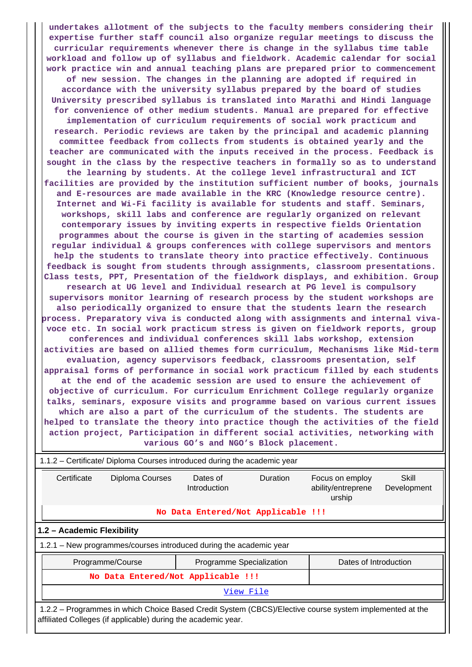**undertakes allotment of the subjects to the faculty members considering their expertise further staff council also organize regular meetings to discuss the curricular requirements whenever there is change in the syllabus time table workload and follow up of syllabus and fieldwork. Academic calendar for social work practice win and annual teaching plans are prepared prior to commencement of new session. The changes in the planning are adopted if required in accordance with the university syllabus prepared by the board of studies University prescribed syllabus is translated into Marathi and Hindi language for convenience of other medium students. Manual are prepared for effective implementation of curriculum requirements of social work practicum and research. Periodic reviews are taken by the principal and academic planning committee feedback from collects from students is obtained yearly and the teacher are communicated with the inputs received in the process. Feedback is sought in the class by the respective teachers in formally so as to understand the learning by students. At the college level infrastructural and ICT facilities are provided by the institution sufficient number of books, journals and E-resources are made available in the KRC (Knowledge resource centre). Internet and Wi-Fi facility is available for students and staff. Seminars, workshops, skill labs and conference are regularly organized on relevant contemporary issues by inviting experts in respective fields Orientation programmes about the course is given in the starting of academies session regular individual & groups conferences with college supervisors and mentors help the students to translate theory into practice effectively. Continuous feedback is sought from students through assignments, classroom presentations. Class tests, PPT, Presentation of the fieldwork displays, and exhibition. Group research at UG level and Individual research at PG level is compulsory supervisors monitor learning of research process by the student workshops are also periodically organized to ensure that the students learn the research process. Preparatory viva is conducted along with assignments and internal vivavoce etc. In social work practicum stress is given on fieldwork reports, group conferences and individual conferences skill labs workshop, extension activities are based on allied themes form curriculum, Mechanisms like Mid-term evaluation, agency supervisors feedback, classrooms presentation, self appraisal forms of performance in social work practicum filled by each students at the end of the academic session are used to ensure the achievement of objective of curriculum. For curriculum Enrichment College regularly organize talks, seminars, exposure visits and programme based on various current issues which are also a part of the curriculum of the students. The students are helped to translate the theory into practice though the activities of the field action project, Participation in different social activities, networking with various GO's and NGO's Block placement.**

| 1.1.2 – Certificate/ Diploma Courses introduced during the academic year                                                                                                 |                                                                       |                                    |          |                                                 |                      |  |  |
|--------------------------------------------------------------------------------------------------------------------------------------------------------------------------|-----------------------------------------------------------------------|------------------------------------|----------|-------------------------------------------------|----------------------|--|--|
| Certificate                                                                                                                                                              | Diploma Courses                                                       | Dates of<br>Introduction           | Duration | Focus on employ<br>ability/entreprene<br>urship | Skill<br>Development |  |  |
|                                                                                                                                                                          |                                                                       | No Data Entered/Not Applicable !!! |          |                                                 |                      |  |  |
| 1.2 - Academic Flexibility                                                                                                                                               |                                                                       |                                    |          |                                                 |                      |  |  |
|                                                                                                                                                                          | 1.2.1 – New programmes/courses introduced during the academic year    |                                    |          |                                                 |                      |  |  |
|                                                                                                                                                                          | Dates of Introduction<br>Programme/Course<br>Programme Specialization |                                    |          |                                                 |                      |  |  |
|                                                                                                                                                                          | No Data Entered/Not Applicable !!!                                    |                                    |          |                                                 |                      |  |  |
| View File                                                                                                                                                                |                                                                       |                                    |          |                                                 |                      |  |  |
| 1.2.2 – Programmes in which Choice Based Credit System (CBCS)/Elective course system implemented at the<br>affiliated Colleges (if applicable) during the academic year. |                                                                       |                                    |          |                                                 |                      |  |  |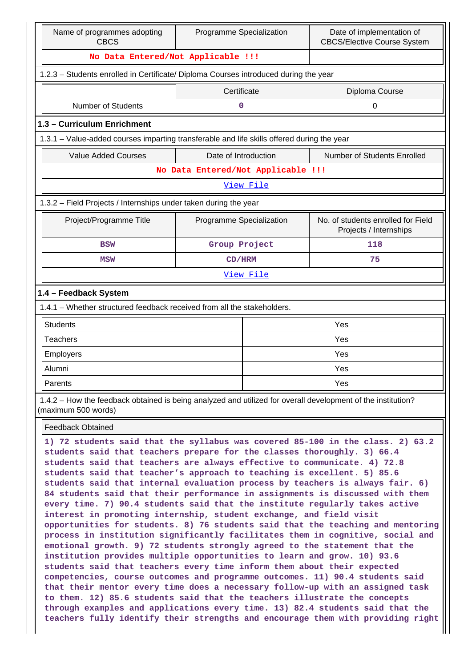| Name of programmes adopting<br>Programme Specialization<br><b>CBCS</b>                                                                                                                                                                                                                                                                                                                                                                                                                                                                                                                                                                                                                                                                                                                                                                                                                                                                                                                                                                                                                                                                                                                                                                                                                                                                                                           |                               |                                    | Date of implementation of<br><b>CBCS/Elective Course System</b> |  |  |  |
|----------------------------------------------------------------------------------------------------------------------------------------------------------------------------------------------------------------------------------------------------------------------------------------------------------------------------------------------------------------------------------------------------------------------------------------------------------------------------------------------------------------------------------------------------------------------------------------------------------------------------------------------------------------------------------------------------------------------------------------------------------------------------------------------------------------------------------------------------------------------------------------------------------------------------------------------------------------------------------------------------------------------------------------------------------------------------------------------------------------------------------------------------------------------------------------------------------------------------------------------------------------------------------------------------------------------------------------------------------------------------------|-------------------------------|------------------------------------|-----------------------------------------------------------------|--|--|--|
| No Data Entered/Not Applicable !!!                                                                                                                                                                                                                                                                                                                                                                                                                                                                                                                                                                                                                                                                                                                                                                                                                                                                                                                                                                                                                                                                                                                                                                                                                                                                                                                                               |                               |                                    |                                                                 |  |  |  |
| 1.2.3 - Students enrolled in Certificate/ Diploma Courses introduced during the year                                                                                                                                                                                                                                                                                                                                                                                                                                                                                                                                                                                                                                                                                                                                                                                                                                                                                                                                                                                                                                                                                                                                                                                                                                                                                             |                               |                                    |                                                                 |  |  |  |
|                                                                                                                                                                                                                                                                                                                                                                                                                                                                                                                                                                                                                                                                                                                                                                                                                                                                                                                                                                                                                                                                                                                                                                                                                                                                                                                                                                                  | Certificate<br>Diploma Course |                                    |                                                                 |  |  |  |
| <b>Number of Students</b>                                                                                                                                                                                                                                                                                                                                                                                                                                                                                                                                                                                                                                                                                                                                                                                                                                                                                                                                                                                                                                                                                                                                                                                                                                                                                                                                                        | 0                             |                                    | 0                                                               |  |  |  |
| 1.3 - Curriculum Enrichment                                                                                                                                                                                                                                                                                                                                                                                                                                                                                                                                                                                                                                                                                                                                                                                                                                                                                                                                                                                                                                                                                                                                                                                                                                                                                                                                                      |                               |                                    |                                                                 |  |  |  |
| 1.3.1 – Value-added courses imparting transferable and life skills offered during the year                                                                                                                                                                                                                                                                                                                                                                                                                                                                                                                                                                                                                                                                                                                                                                                                                                                                                                                                                                                                                                                                                                                                                                                                                                                                                       |                               |                                    |                                                                 |  |  |  |
| <b>Value Added Courses</b>                                                                                                                                                                                                                                                                                                                                                                                                                                                                                                                                                                                                                                                                                                                                                                                                                                                                                                                                                                                                                                                                                                                                                                                                                                                                                                                                                       | Date of Introduction          |                                    | Number of Students Enrolled                                     |  |  |  |
|                                                                                                                                                                                                                                                                                                                                                                                                                                                                                                                                                                                                                                                                                                                                                                                                                                                                                                                                                                                                                                                                                                                                                                                                                                                                                                                                                                                  |                               | No Data Entered/Not Applicable !!! |                                                                 |  |  |  |
|                                                                                                                                                                                                                                                                                                                                                                                                                                                                                                                                                                                                                                                                                                                                                                                                                                                                                                                                                                                                                                                                                                                                                                                                                                                                                                                                                                                  |                               | View File                          |                                                                 |  |  |  |
| 1.3.2 – Field Projects / Internships under taken during the year                                                                                                                                                                                                                                                                                                                                                                                                                                                                                                                                                                                                                                                                                                                                                                                                                                                                                                                                                                                                                                                                                                                                                                                                                                                                                                                 |                               |                                    |                                                                 |  |  |  |
| Project/Programme Title                                                                                                                                                                                                                                                                                                                                                                                                                                                                                                                                                                                                                                                                                                                                                                                                                                                                                                                                                                                                                                                                                                                                                                                                                                                                                                                                                          | Programme Specialization      |                                    | No. of students enrolled for Field<br>Projects / Internships    |  |  |  |
| <b>BSW</b>                                                                                                                                                                                                                                                                                                                                                                                                                                                                                                                                                                                                                                                                                                                                                                                                                                                                                                                                                                                                                                                                                                                                                                                                                                                                                                                                                                       | Group Project                 |                                    | 118                                                             |  |  |  |
| <b>MSW</b>                                                                                                                                                                                                                                                                                                                                                                                                                                                                                                                                                                                                                                                                                                                                                                                                                                                                                                                                                                                                                                                                                                                                                                                                                                                                                                                                                                       | CD/HRM                        |                                    | 75                                                              |  |  |  |
|                                                                                                                                                                                                                                                                                                                                                                                                                                                                                                                                                                                                                                                                                                                                                                                                                                                                                                                                                                                                                                                                                                                                                                                                                                                                                                                                                                                  |                               | View File                          |                                                                 |  |  |  |
| 1.4 - Feedback System                                                                                                                                                                                                                                                                                                                                                                                                                                                                                                                                                                                                                                                                                                                                                                                                                                                                                                                                                                                                                                                                                                                                                                                                                                                                                                                                                            |                               |                                    |                                                                 |  |  |  |
| 1.4.1 - Whether structured feedback received from all the stakeholders.                                                                                                                                                                                                                                                                                                                                                                                                                                                                                                                                                                                                                                                                                                                                                                                                                                                                                                                                                                                                                                                                                                                                                                                                                                                                                                          |                               |                                    |                                                                 |  |  |  |
| <b>Students</b>                                                                                                                                                                                                                                                                                                                                                                                                                                                                                                                                                                                                                                                                                                                                                                                                                                                                                                                                                                                                                                                                                                                                                                                                                                                                                                                                                                  |                               |                                    | Yes                                                             |  |  |  |
| <b>Teachers</b>                                                                                                                                                                                                                                                                                                                                                                                                                                                                                                                                                                                                                                                                                                                                                                                                                                                                                                                                                                                                                                                                                                                                                                                                                                                                                                                                                                  |                               | Yes                                |                                                                 |  |  |  |
| <b>Employers</b>                                                                                                                                                                                                                                                                                                                                                                                                                                                                                                                                                                                                                                                                                                                                                                                                                                                                                                                                                                                                                                                                                                                                                                                                                                                                                                                                                                 |                               |                                    | Yes                                                             |  |  |  |
| Alumni                                                                                                                                                                                                                                                                                                                                                                                                                                                                                                                                                                                                                                                                                                                                                                                                                                                                                                                                                                                                                                                                                                                                                                                                                                                                                                                                                                           |                               | Yes                                |                                                                 |  |  |  |
| Parents                                                                                                                                                                                                                                                                                                                                                                                                                                                                                                                                                                                                                                                                                                                                                                                                                                                                                                                                                                                                                                                                                                                                                                                                                                                                                                                                                                          |                               |                                    | Yes                                                             |  |  |  |
| 1.4.2 – How the feedback obtained is being analyzed and utilized for overall development of the institution?<br>(maximum 500 words)                                                                                                                                                                                                                                                                                                                                                                                                                                                                                                                                                                                                                                                                                                                                                                                                                                                                                                                                                                                                                                                                                                                                                                                                                                              |                               |                                    |                                                                 |  |  |  |
| <b>Feedback Obtained</b>                                                                                                                                                                                                                                                                                                                                                                                                                                                                                                                                                                                                                                                                                                                                                                                                                                                                                                                                                                                                                                                                                                                                                                                                                                                                                                                                                         |                               |                                    |                                                                 |  |  |  |
| 1) 72 students said that the syllabus was covered 85-100 in the class. 2) 63.2<br>students said that teachers prepare for the classes thoroughly. 3) 66.4<br>students said that teachers are always effective to communicate. 4) 72.8<br>students said that teacher's approach to teaching is excellent. 5) 85.6<br>students said that internal evaluation process by teachers is always fair. 6)<br>84 students said that their performance in assignments is discussed with them<br>every time. 7) 90.4 students said that the institute regularly takes active<br>interest in promoting internship, student exchange, and field visit<br>opportunities for students. 8) 76 students said that the teaching and mentoring<br>process in institution significantly facilitates them in cognitive, social and<br>emotional growth. 9) 72 students strongly agreed to the statement that the<br>institution provides multiple opportunities to learn and grow. 10) 93.6<br>students said that teachers every time inform them about their expected<br>competencies, course outcomes and programme outcomes. 11) 90.4 students said<br>that their mentor every time does a necessary follow-up with an assigned task<br>to them. 12) 85.6 students said that the teachers illustrate the concepts<br>through examples and applications every time. 13) 82.4 students said that the |                               |                                    |                                                                 |  |  |  |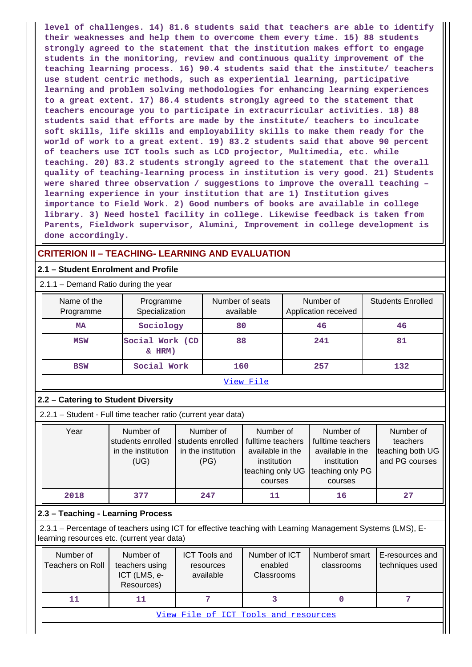**level of challenges. 14) 81.6 students said that teachers are able to identify their weaknesses and help them to overcome them every time. 15) 88 students strongly agreed to the statement that the institution makes effort to engage students in the monitoring, review and continuous quality improvement of the teaching learning process. 16) 90.4 students said that the institute/ teachers use student centric methods, such as experiential learning, participative learning and problem solving methodologies for enhancing learning experiences to a great extent. 17) 86.4 students strongly agreed to the statement that teachers encourage you to participate in extracurricular activities. 18) 88 students said that efforts are made by the institute/ teachers to inculcate soft skills, life skills and employability skills to make them ready for the world of work to a great extent. 19) 83.2 students said that above 90 percent of teachers use ICT tools such as LCD projector, Multimedia, etc. while teaching. 20) 83.2 students strongly agreed to the statement that the overall quality of teaching-learning process in institution is very good. 21) Students were shared three observation / suggestions to improve the overall teaching – learning experience in your institution that are 1) Institution gives importance to Field Work. 2) Good numbers of books are available in college library. 3) Need hostel facility in college. Likewise feedback is taken from Parents, Fieldwork supervisor, Alumini, Improvement in college development is done accordingly.**

# **CRITERION II – TEACHING- LEARNING AND EVALUATION**

### **2.1 – Student Enrolment and Profile**

2.1.1 – Demand Ratio during the year

| Name of the<br>Programme | Programme<br>Specialization     | Number of seats<br>available | Number of<br>Application received | <b>Students Enrolled</b> |
|--------------------------|---------------------------------|------------------------------|-----------------------------------|--------------------------|
| <b>MA</b>                | Sociology                       | 80                           | 46                                | 46                       |
| <b>MSW</b>               | Social Work (CD<br>$\&$ HRM $)$ | 88                           | 241                               | 81                       |
| <b>BSW</b>               | Social Work                     | 160                          | 257                               | 132                      |
|                          |                                 |                              |                                   |                          |

#### [View File](https://assessmentonline.naac.gov.in/public/Postacc/Demand_ratio/4998_Demand_ratio_1584098099.xlsx)

### **2.2 – Catering to Student Diversity**

2.2.1 – Student - Full time teacher ratio (current year data)

| Year | Number of          | Number of          | Number of                          | Number of         | Number of        |
|------|--------------------|--------------------|------------------------------------|-------------------|------------------|
|      | students enrolled  | students enrolled  | fulltime teachers                  | fulltime teachers | teachers         |
|      | in the institution | in the institution | available in the                   | available in the  | teaching both UG |
|      | (UG)               | (PG)               | institution                        | institution       | and PG courses   |
|      |                    |                    | teaching only UG Iteaching only PG |                   |                  |
|      |                    |                    | courses                            | courses           |                  |
| 2018 | 377                | 247                | 11                                 | 16                | 27               |

### **2.3 – Teaching - Learning Process**

 2.3.1 – Percentage of teachers using ICT for effective teaching with Learning Management Systems (LMS), Elearning resources etc. (current year data)

| Number of<br>Teachers on Roll        | Number of<br>teachers using<br>ICT (LMS, e-<br>Resources) | <b>ICT Tools and</b><br>resources<br>available | Number of ICT<br>enabled<br>Classrooms | Numberof smart<br>classrooms | E-resources and<br>techniques used |  |  |  |  |
|--------------------------------------|-----------------------------------------------------------|------------------------------------------------|----------------------------------------|------------------------------|------------------------------------|--|--|--|--|
| 11                                   | 11                                                        |                                                |                                        |                              |                                    |  |  |  |  |
| View File of ICT Tools and resources |                                                           |                                                |                                        |                              |                                    |  |  |  |  |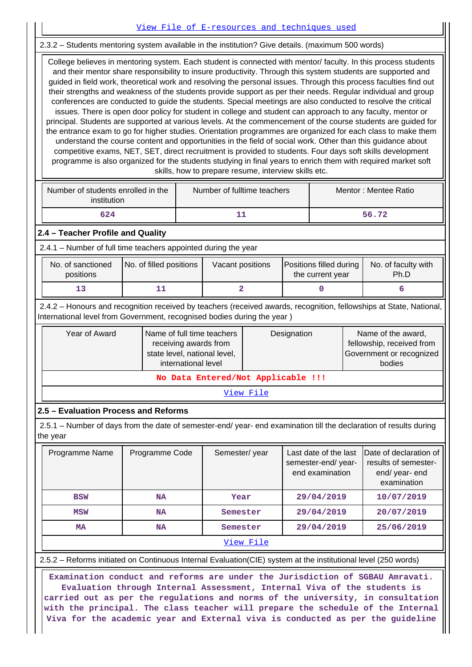2.3.2 – Students mentoring system available in the institution? Give details. (maximum 500 words)

 College believes in mentoring system. Each student is connected with mentor/ faculty. In this process students and their mentor share responsibility to insure productivity. Through this system students are supported and guided in field work, theoretical work and resolving the personal issues. Through this process faculties find out their strengths and weakness of the students provide support as per their needs. Regular individual and group conferences are conducted to guide the students. Special meetings are also conducted to resolve the critical issues. There is open door policy for student in college and student can approach to any faculty, mentor or principal. Students are supported at various levels. At the commencement of the course students are guided for the entrance exam to go for higher studies. Orientation programmes are organized for each class to make them understand the course content and opportunities in the field of social work. Other than this guidance about competitive exams, NET, SET, direct recruitment is provided to students. Four days soft skills development programme is also organized for the students studying in final years to enrich them with required market soft skills, how to prepare resume, interview skills etc.

[View File of E-resources and techniques used](https://assessmentonline.naac.gov.in/public/Postacc/e_resource/4998_e_resource_1584100017.xlsx)

| Number of students enrolled in the<br>institution | Number of fulltime teachers | Mentor: Mentee Ratio |  |
|---------------------------------------------------|-----------------------------|----------------------|--|
| 624                                               |                             | 56.72                |  |

#### **2.4 – Teacher Profile and Quality**

2.4.1 – Number of full time teachers appointed during the year

| No. of sanctioned<br>positions | No. of filled positions | Vacant positions | <b>Positions filled during</b><br>the current year | No. of faculty with<br>Ph.D |
|--------------------------------|-------------------------|------------------|----------------------------------------------------|-----------------------------|
|                                |                         |                  |                                                    |                             |

 2.4.2 – Honours and recognition received by teachers (received awards, recognition, fellowships at State, National, International level from Government, recognised bodies during the year )

| Year of Award                      | Name of full time teachers<br>receiving awards from<br>state level, national level,<br>international level | Designation | Name of the award,<br>fellowship, received from<br>Government or recognized<br>bodies |  |  |  |  |
|------------------------------------|------------------------------------------------------------------------------------------------------------|-------------|---------------------------------------------------------------------------------------|--|--|--|--|
| No Data Entered/Not Applicable !!! |                                                                                                            |             |                                                                                       |  |  |  |  |

[View File](https://assessmentonline.naac.gov.in/public/Postacc/Honours_recieved/4998_Honours_recieved_1584098913.xlsx)

### **2.5 – Evaluation Process and Reforms**

 2.5.1 – Number of days from the date of semester-end/ year- end examination till the declaration of results during the year

| Programme Name | Programme Code | Semester/year | Last date of the last<br>semester-end/year-<br>end examination | Date of declaration of<br>results of semester-<br>end/ year- end<br>examination |
|----------------|----------------|---------------|----------------------------------------------------------------|---------------------------------------------------------------------------------|
| <b>BSW</b>     | <b>NA</b>      | Year          | 29/04/2019                                                     | 10/07/2019                                                                      |
| <b>MSW</b>     | <b>NA</b>      | Semester      | 29/04/2019                                                     | 20/07/2019                                                                      |
| MA             | <b>NA</b>      | Semester      | 29/04/2019                                                     | 25/06/2019                                                                      |
|                |                | View File     |                                                                |                                                                                 |

2.5.2 – Reforms initiated on Continuous Internal Evaluation(CIE) system at the institutional level (250 words)

 **Examination conduct and reforms are under the Jurisdiction of SGBAU Amravati. Evaluation through Internal Assessment, Internal Viva of the students is carried out as per the regulations and norms of the university, in consultation with the principal. The class teacher will prepare the schedule of the Internal Viva for the academic year and External viva is conducted as per the guideline**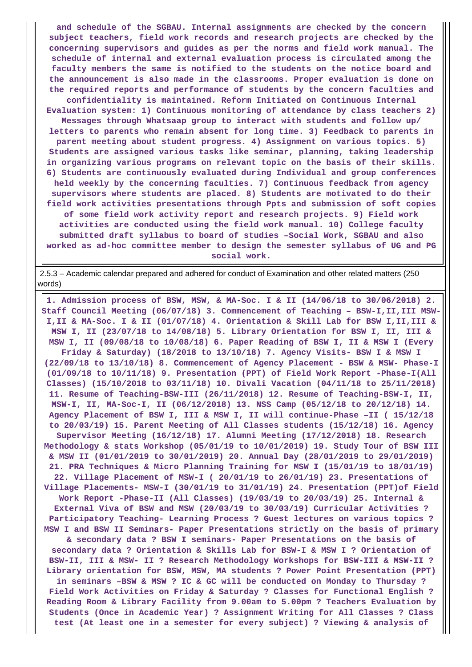**and schedule of the SGBAU. Internal assignments are checked by the concern subject teachers, field work records and research projects are checked by the concerning supervisors and guides as per the norms and field work manual. The schedule of internal and external evaluation process is circulated among the faculty members the same is notified to the students on the notice board and the announcement is also made in the classrooms. Proper evaluation is done on the required reports and performance of students by the concern faculties and confidentiality is maintained. Reform Initiated on Continuous Internal Evaluation system: 1) Continuous monitoring of attendance by class teachers 2) Messages through Whatsaap group to interact with students and follow up/ letters to parents who remain absent for long time. 3) Feedback to parents in parent meeting about student progress. 4) Assignment on various topics. 5) Students are assigned various tasks like seminar, planning, taking leadership in organizing various programs on relevant topic on the basis of their skills. 6) Students are continuously evaluated during Individual and group conferences held weekly by the concerning faculties. 7) Continuous feedback from agency supervisors where students are placed. 8) Students are motivated to do their field work activities presentations through Ppts and submission of soft copies of some field work activity report and research projects. 9) Field work activities are conducted using the field work manual. 10) College faculty submitted draft syllabus to board of studies –Social Work, SGBAU and also worked as ad-hoc committee member to design the semester syllabus of UG and PG**

**social work.**

 2.5.3 – Academic calendar prepared and adhered for conduct of Examination and other related matters (250 words)

 **1. Admission process of BSW, MSW, & MA-Soc. I & II (14/06/18 to 30/06/2018) 2. Staff Council Meeting (06/07/18) 3. Commencement of Teaching – BSW-I,II,III MSW-I,II & MA-Soc. I & II (01/07/18) 4. Orientation & Skill Lab for BSW I,II,III & MSW I, II (23/07/18 to 14/08/18) 5. Library Orientation for BSW I, II, III & MSW I, II (09/08/18 to 10/08/18) 6. Paper Reading of BSW I, II & MSW I (Every Friday & Saturday) (18/2018 to 13/10/18) 7. Agency Visits- BSW I & MSW I (22/09/18 to 13/10/18) 8. Commencement of Agency Placement - BSW & MSW- Phase-I (01/09/18 to 10/11/18) 9. Presentation (PPT) of Field Work Report -Phase-I(All Classes) (15/10/2018 to 03/11/18) 10. Divali Vacation (04/11/18 to 25/11/2018) 11. Resume of Teaching-BSW-III (26/11/2018) 12. Resume of Teaching-BSW-I, II, MSW-I, II, MA-Soc-I, II (06/12/2018) 13. NSS Camp (05/12/18 to 20/12/18) 14. Agency Placement of BSW I, III & MSW I, II will continue-Phase –II ( 15/12/18 to 20/03/19) 15. Parent Meeting of All Classes students (15/12/18) 16. Agency Supervisor Meeting (16/12/18) 17. Alumni Meeting (17/12/2018) 18. Research Methodology & stats Workshop (05/01/19 to 10/01/2019) 19. Study Tour of BSW III & MSW II (01/01/2019 to 30/01/2019) 20. Annual Day (28/01/2019 to 29/01/2019) 21. PRA Techniques & Micro Planning Training for MSW I (15/01/19 to 18/01/19) 22. Village Placement of MSW-I ( 20/01/19 to 26/01/19) 23. Presentations of Village Placements- MSW-I (30/01/19 to 31/01/19) 24. Presentation (PPT)of Field Work Report -Phase-II (All Classes) (19/03/19 to 20/03/19) 25. Internal & External Viva of BSW and MSW (20/03/19 to 30/03/19) Curricular Activities ? Participatory Teaching- Learning Process ? Guest lectures on various topics ? MSW I and BSW II Seminars- Paper Presentations strictly on the basis of primary & secondary data ? BSW I seminars- Paper Presentations on the basis of secondary data ? Orientation & Skills Lab for BSW-I & MSW I ? Orientation of BSW-II, III & MSW- II ? Research Methodology Workshops for BSW-III & MSW-II ? Library orientation for BSW, MSW, MA students ? Power Point Presentation (PPT) in seminars –BSW & MSW ? IC & GC will be conducted on Monday to Thursday ? Field Work Activities on Friday & Saturday ? Classes for Functional English ? Reading Room & Library Facility from 9.00am to 5.00pm ? Teachers Evaluation by Students (Once in Academic Year) ? Assignment Writing for All Classes ? Class test (At least one in a semester for every subject) ? Viewing & analysis of**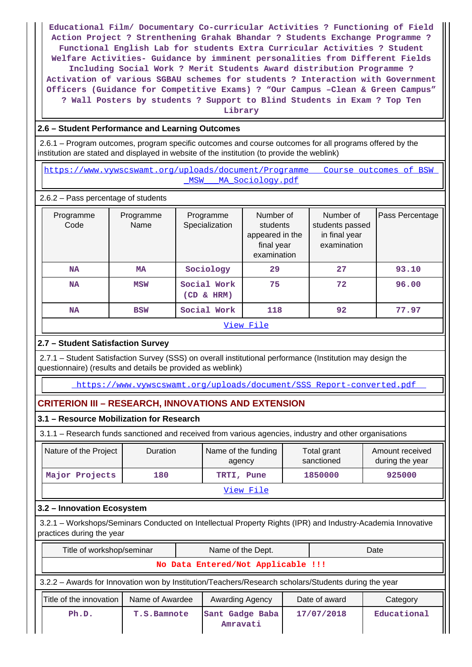**Educational Film/ Documentary Co-curricular Activities ? Functioning of Field Action Project ? Strenthening Grahak Bhandar ? Students Exchange Programme ? Functional English Lab for students Extra Curricular Activities ? Student Welfare Activities- Guidance by imminent personalities from Different Fields Including Social Work ? Merit Students Award distribution Programme ? Activation of various SGBAU schemes for students ? Interaction with Government Officers (Guidance for Competitive Exams) ? "Our Campus –Clean & Green Campus" ? Wall Posters by students ? Support to Blind Students in Exam ? Top Ten Library**

## **2.6 – Student Performance and Learning Outcomes**

 2.6.1 – Program outcomes, program specific outcomes and course outcomes for all programs offered by the institution are stated and displayed in website of the institution (to provide the weblink)

https://www.vywscswamt.org/uploads/document/Programme\_\_\_Course\_outcomes\_of\_BSW [\\_MSW\\_\\_\\_MA\\_Sociology.pdf](https://www.vywscswamt.org/uploads/document/Programme___Course_outcomes_of_BSW__MSW___MA_Sociology.pdf)

2.6.2 – Pass percentage of students

| Programme<br>Code | Programme<br>Name | Programme<br>Specialization  | Number of<br>students<br>appeared in the<br>final year<br>examination | Number of<br>students passed<br>in final year<br>examination | Pass Percentage |  |  |  |  |  |
|-------------------|-------------------|------------------------------|-----------------------------------------------------------------------|--------------------------------------------------------------|-----------------|--|--|--|--|--|
| <b>NA</b>         | MA                | Sociology                    | 29                                                                    | 27                                                           | 93.10           |  |  |  |  |  |
| <b>NA</b>         | <b>MSW</b>        | Social Work<br>$(CD \& HRM)$ | 75                                                                    | 72                                                           | 96.00           |  |  |  |  |  |
| <b>NA</b>         | <b>BSW</b>        | Social Work                  | 118                                                                   | 92                                                           | 77.97           |  |  |  |  |  |
| View File         |                   |                              |                                                                       |                                                              |                 |  |  |  |  |  |

# **2.7 – Student Satisfaction Survey**

 2.7.1 – Student Satisfaction Survey (SSS) on overall institutional performance (Institution may design the questionnaire) (results and details be provided as weblink)

[https://www.vywscswamt.org/uploads/document/SSS\\_Report-converted.pdf](https://www.vywscswamt.org/uploads/document/SSS_Report-converted.pdf) 

# **CRITERION III – RESEARCH, INNOVATIONS AND EXTENSION**

### **3.1 – Resource Mobilization for Research**

3.1.1 – Research funds sanctioned and received from various agencies, industry and other organisations

| Nature of the Project | <b>Duration</b> | Name of the funding<br>agency | Total grant<br>sanctioned | Amount received<br>during the year |
|-----------------------|-----------------|-------------------------------|---------------------------|------------------------------------|
| Major Projects        | 180             | TRTI, Pune                    | 1850000                   | 925000                             |
|                       |                 | View File                     |                           |                                    |

### **3.2 – Innovation Ecosystem**

 3.2.1 – Workshops/Seminars Conducted on Intellectual Property Rights (IPR) and Industry-Academia Innovative practices during the year

| Title of workshop/seminar          |                                                                                                      |  | Name of the Dept.           |                 |            | Date          |          |
|------------------------------------|------------------------------------------------------------------------------------------------------|--|-----------------------------|-----------------|------------|---------------|----------|
| No Data Entered/Not Applicable !!! |                                                                                                      |  |                             |                 |            |               |          |
|                                    | 3.2.2 - Awards for Innovation won by Institution/Teachers/Research scholars/Students during the year |  |                             |                 |            |               |          |
|                                    | Title of the innovation<br>Name of Awardee                                                           |  |                             | Awarding Agency |            | Date of award | Category |
| Ph.D.<br><b>T.S.Bamnote</b>        |                                                                                                      |  | Sant Gadge Baba<br>Amravati |                 | 17/07/2018 | Educational   |          |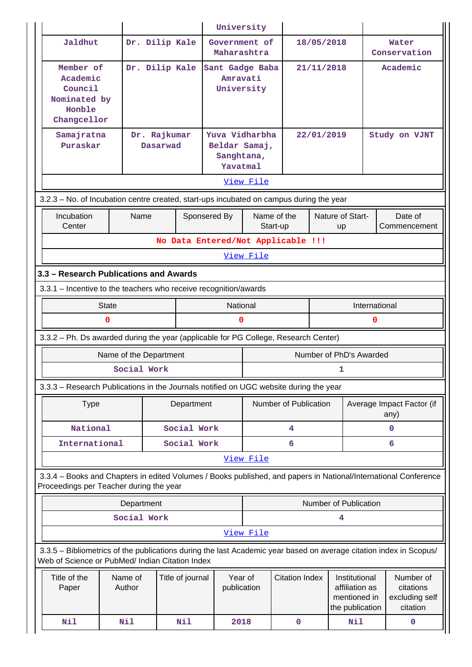|                                                                                                                                                                       |                        |                                    | University                                                       |                                                                                             |                         |            |                                                      |   |                                   |
|-----------------------------------------------------------------------------------------------------------------------------------------------------------------------|------------------------|------------------------------------|------------------------------------------------------------------|---------------------------------------------------------------------------------------------|-------------------------|------------|------------------------------------------------------|---|-----------------------------------|
| Jaldhut                                                                                                                                                               |                        | Dr. Dilip Kale                     | Government of<br>Maharashtra                                     |                                                                                             |                         | 18/05/2018 |                                                      |   | Water<br>Conservation             |
| Member of<br>Academic<br>Council<br>Nominated by<br>Honble<br>Changcellor                                                                                             |                        | Dr. Dilip Kale                     | Sant Gadge Baba<br>Amravati<br>University                        |                                                                                             |                         | 21/11/2018 |                                                      |   | Academic                          |
| Samajratna<br>Puraskar                                                                                                                                                |                        | Dr. Rajkumar<br>Dasarwad           | Yuva Vidharbha<br>Beldar Samaj,<br>Sanghtana,<br><b>Yavatmal</b> |                                                                                             |                         | 22/01/2019 |                                                      |   | Study on VJNT                     |
|                                                                                                                                                                       |                        |                                    |                                                                  | View File                                                                                   |                         |            |                                                      |   |                                   |
| 3.2.3 - No. of Incubation centre created, start-ups incubated on campus during the year                                                                               |                        |                                    |                                                                  |                                                                                             |                         |            |                                                      |   |                                   |
| Incubation<br>Center                                                                                                                                                  | Name                   |                                    | Sponsered By                                                     |                                                                                             | Name of the<br>Start-up |            | Nature of Start-<br>up                               |   | Date of<br>Commencement           |
|                                                                                                                                                                       |                        | No Data Entered/Not Applicable !!! |                                                                  |                                                                                             |                         |            |                                                      |   |                                   |
| View File                                                                                                                                                             |                        |                                    |                                                                  |                                                                                             |                         |            |                                                      |   |                                   |
| 3.3 - Research Publications and Awards                                                                                                                                |                        |                                    |                                                                  |                                                                                             |                         |            |                                                      |   |                                   |
| 3.3.1 - Incentive to the teachers who receive recognition/awards                                                                                                      |                        |                                    |                                                                  |                                                                                             |                         |            |                                                      |   |                                   |
|                                                                                                                                                                       | <b>State</b>           |                                    | National                                                         | International                                                                               |                         |            |                                                      |   |                                   |
|                                                                                                                                                                       | 0                      |                                    | 0                                                                |                                                                                             |                         |            |                                                      | 0 |                                   |
| 3.3.2 - Ph. Ds awarded during the year (applicable for PG College, Research Center)                                                                                   |                        |                                    |                                                                  |                                                                                             |                         |            |                                                      |   |                                   |
|                                                                                                                                                                       | Name of the Department |                                    |                                                                  |                                                                                             |                         |            | Number of PhD's Awarded                              |   |                                   |
|                                                                                                                                                                       | Social Work            |                                    |                                                                  |                                                                                             |                         |            | 1                                                    |   |                                   |
| 3.3.3 – Research Publications in the Journals notified on UGC website during the year                                                                                 |                        |                                    |                                                                  |                                                                                             |                         |            |                                                      |   |                                   |
| <b>Type</b>                                                                                                                                                           |                        | Department                         |                                                                  |                                                                                             | Number of Publication   |            |                                                      |   | Average Impact Factor (if<br>any) |
| National                                                                                                                                                              |                        | Social Work                        |                                                                  |                                                                                             | $\overline{\mathbf{4}}$ |            |                                                      |   | $\mathbf 0$                       |
| International                                                                                                                                                         |                        | Social Work                        |                                                                  |                                                                                             | 6                       |            |                                                      |   | 6                                 |
|                                                                                                                                                                       |                        |                                    |                                                                  | View File                                                                                   |                         |            |                                                      |   |                                   |
| 3.3.4 - Books and Chapters in edited Volumes / Books published, and papers in National/International Conference<br>Proceedings per Teacher during the year            |                        |                                    |                                                                  |                                                                                             |                         |            |                                                      |   |                                   |
|                                                                                                                                                                       | Department             |                                    |                                                                  |                                                                                             |                         |            | <b>Number of Publication</b>                         |   |                                   |
|                                                                                                                                                                       | Social Work            |                                    |                                                                  |                                                                                             |                         |            | 4                                                    |   |                                   |
|                                                                                                                                                                       |                        |                                    |                                                                  | View File                                                                                   |                         |            |                                                      |   |                                   |
| 3.3.5 - Bibliometrics of the publications during the last Academic year based on average citation index in Scopus/<br>Web of Science or PubMed/ Indian Citation Index |                        |                                    |                                                                  |                                                                                             |                         |            |                                                      |   |                                   |
| Title of the<br>Paper                                                                                                                                                 | Name of<br>Author      | Title of journal                   | Year of<br>publication                                           | <b>Citation Index</b><br>Institutional<br>affiliation as<br>mentioned in<br>the publication |                         |            | Number of<br>citations<br>excluding self<br>citation |   |                                   |
| Nil                                                                                                                                                                   | Nil                    | Nil                                | 2018                                                             |                                                                                             | 0                       |            | <b>Nil</b>                                           |   | 0                                 |
|                                                                                                                                                                       |                        |                                    |                                                                  |                                                                                             |                         |            |                                                      |   |                                   |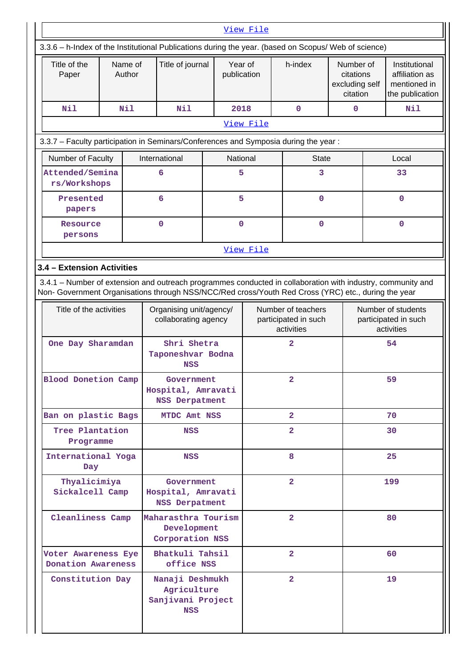| View File                                                                                                                                                                                                          |                                        |                   |                                                                   |  |                        |                                                          |                                                                 |              |                                                          |                                                                    |
|--------------------------------------------------------------------------------------------------------------------------------------------------------------------------------------------------------------------|----------------------------------------|-------------------|-------------------------------------------------------------------|--|------------------------|----------------------------------------------------------|-----------------------------------------------------------------|--------------|----------------------------------------------------------|--------------------------------------------------------------------|
| 3.3.6 - h-Index of the Institutional Publications during the year. (based on Scopus/ Web of science)                                                                                                               |                                        |                   |                                                                   |  |                        |                                                          |                                                                 |              |                                                          |                                                                    |
| Title of the<br>Paper                                                                                                                                                                                              |                                        | Name of<br>Author | Title of journal                                                  |  | Year of<br>publication |                                                          | h-index<br>Number of<br>citations<br>excluding self<br>citation |              |                                                          | Institutional<br>affiliation as<br>mentioned in<br>the publication |
| N11                                                                                                                                                                                                                |                                        | N11               | Nil                                                               |  | 2018                   | $\mathbf{0}$                                             |                                                                 | $\mathbf{0}$ |                                                          | Nil                                                                |
|                                                                                                                                                                                                                    |                                        |                   |                                                                   |  | View File              |                                                          |                                                                 |              |                                                          |                                                                    |
| 3.3.7 - Faculty participation in Seminars/Conferences and Symposia during the year:                                                                                                                                |                                        |                   |                                                                   |  |                        |                                                          |                                                                 |              |                                                          |                                                                    |
| Number of Faculty                                                                                                                                                                                                  |                                        |                   | International                                                     |  | <b>National</b>        |                                                          | <b>State</b>                                                    |              |                                                          | Local                                                              |
| Attended/Semina<br>rs/Workshops                                                                                                                                                                                    |                                        |                   | 6                                                                 |  | 5                      |                                                          | 3                                                               |              |                                                          | 33                                                                 |
| Presented<br>papers                                                                                                                                                                                                |                                        |                   | 6                                                                 |  | 5                      |                                                          | $\mathbf 0$                                                     |              |                                                          | $\mathbf 0$                                                        |
| Resource<br>persons                                                                                                                                                                                                |                                        |                   | 0                                                                 |  | $\mathbf 0$            |                                                          | $\mathbf 0$                                                     |              |                                                          | $\mathbf 0$                                                        |
|                                                                                                                                                                                                                    |                                        |                   |                                                                   |  | View File              |                                                          |                                                                 |              |                                                          |                                                                    |
| 3.4 - Extension Activities                                                                                                                                                                                         |                                        |                   |                                                                   |  |                        |                                                          |                                                                 |              |                                                          |                                                                    |
| 3.4.1 - Number of extension and outreach programmes conducted in collaboration with industry, community and<br>Non- Government Organisations through NSS/NCC/Red cross/Youth Red Cross (YRC) etc., during the year |                                        |                   |                                                                   |  |                        |                                                          |                                                                 |              |                                                          |                                                                    |
| Title of the activities                                                                                                                                                                                            |                                        |                   | Organising unit/agency/<br>collaborating agency                   |  |                        | Number of teachers<br>participated in such<br>activities |                                                                 |              | Number of students<br>participated in such<br>activities |                                                                    |
| One Day Sharamdan                                                                                                                                                                                                  |                                        |                   | Shri Shetra<br>Taponeshvar Bodna<br><b>NSS</b>                    |  |                        | $\overline{2}$                                           |                                                                 |              |                                                          | 54                                                                 |
| <b>Blood Donetion Camp</b>                                                                                                                                                                                         |                                        |                   | Government<br>Hospital, Amravati<br><b>NSS Derpatment</b>         |  |                        | 2                                                        |                                                                 |              |                                                          | 59                                                                 |
| Ban on plastic Bags                                                                                                                                                                                                |                                        |                   | MTDC Amt NSS                                                      |  |                        | $\overline{2}$                                           |                                                                 |              | 70                                                       |                                                                    |
| Tree Plantation<br>Programme                                                                                                                                                                                       |                                        |                   | <b>NSS</b>                                                        |  |                        | $\mathbf{2}$                                             |                                                                 |              | 30                                                       |                                                                    |
| International Yoga<br>Day                                                                                                                                                                                          |                                        |                   | NSS                                                               |  |                        | 8                                                        |                                                                 |              | 25                                                       |                                                                    |
|                                                                                                                                                                                                                    | Thyalicimiya<br>Sickalcell Camp        |                   | Government<br>Hospital, Amravati<br><b>NSS Derpatment</b>         |  |                        | $\overline{2}$                                           |                                                                 |              |                                                          | 199                                                                |
| Cleanliness Camp                                                                                                                                                                                                   |                                        |                   | Maharasthra Tourism<br>Development<br>Corporation NSS             |  |                        | $\overline{2}$                                           |                                                                 |              |                                                          | 80                                                                 |
| Voter Awareness Eye                                                                                                                                                                                                |                                        |                   | Bhatkuli Tahsil<br>office NSS                                     |  |                        | $\overline{2}$                                           |                                                                 |              |                                                          | 60                                                                 |
|                                                                                                                                                                                                                    | Donation Awareness<br>Constitution Day |                   | Nanaji Deshmukh<br>Agriculture<br>Sanjivani Project<br><b>NSS</b> |  |                        | $\overline{2}$                                           |                                                                 |              |                                                          | 19                                                                 |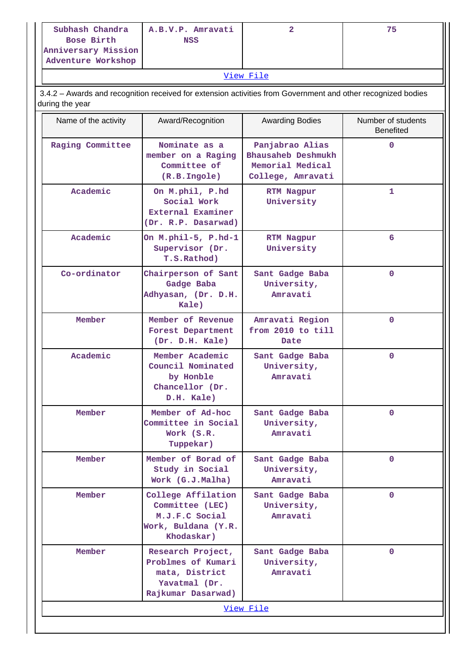| Subhash Chandra     | A.B.V.P. Amravati | 75 |
|---------------------|-------------------|----|
| Bose Birth          | <b>NSS</b>        |    |
| Anniversary Mission |                   |    |
| Adventure Workshop  |                   |    |

[View File](https://assessmentonline.naac.gov.in/public/Postacc/Extension/4998_Extension_1584114531.xlsx)

 3.4.2 – Awards and recognition received for extension activities from Government and other recognized bodies during the year

| Name of the activity | Award/Recognition                                                                                | <b>Awarding Bodies</b>                                                         | Number of students<br><b>Benefited</b> |
|----------------------|--------------------------------------------------------------------------------------------------|--------------------------------------------------------------------------------|----------------------------------------|
| Raging Committee     | Nominate as a<br>member on a Raging<br>Committee of<br>(R.B.Ingole)                              | Panjabrao Alias<br>Bhausaheb Deshmukh<br>Memorial Medical<br>College, Amravati | $\mathbf{O}$                           |
| Academic             | On M.phil, P.hd<br>Social Work<br>External Examiner<br>(Dr. R.P. Dasarwad)                       | <b>RTM Nagpur</b><br>University                                                | 1                                      |
| Academic             | On M.phil-5, P.hd-1<br>Supervisor (Dr.<br>T.S.Rathod)                                            | RTM Nagpur<br>University                                                       | 6                                      |
| Co-ordinator         | Chairperson of Sant<br>Gadge Baba<br>Adhyasan, (Dr. D.H.<br>Kale)                                | Sant Gadge Baba<br>University,<br>Amravati                                     | $\mathbf{0}$                           |
| Member               | Member of Revenue<br>Forest Department<br>(Dr. D.H. Kale)                                        | Amravati Region<br>from 2010 to till<br>Date                                   | $\mathbf{O}$                           |
| Academic             | Member Academic<br>Council Nominated<br>by Honble<br>Chancellor (Dr.<br>D.H. Kale)               | Sant Gadge Baba<br>University,<br>Amravati                                     | $\mathbf{0}$                           |
| Member               | Member of Ad-hoc<br>Committee in Social<br>Work (S.R.<br>Tuppekar)                               | Sant Gadge Baba<br>University,<br>Amravati                                     | $\mathbf{0}$                           |
| Member               | Member of Borad of<br>Study in Social<br>Work (G.J.Malha)                                        | Sant Gadge Baba<br>University,<br>Amravati                                     | 0                                      |
| Member               | College Affilation<br>Committee (LEC)<br>M.J.F.C Social<br>Work, Buldana (Y.R.<br>Khodaskar)     | Sant Gadge Baba<br>University,<br>Amravati                                     | $\mathbf 0$                            |
| Member               | Research Project,<br>Problmes of Kumari<br>mata, District<br>Yavatmal (Dr.<br>Rajkumar Dasarwad) | Sant Gadge Baba<br>University,<br>Amravati                                     | $\mathbf 0$                            |
|                      |                                                                                                  | View File                                                                      |                                        |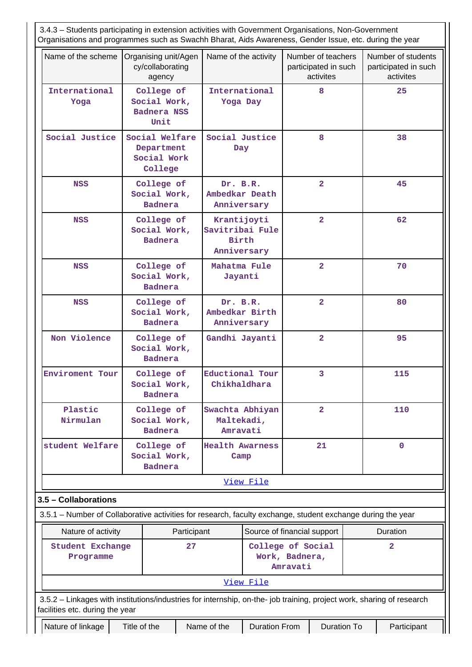3.4.3 – Students participating in extension activities with Government Organisations, Non-Government Organisations and programmes such as Swachh Bharat, Aids Awareness, Gender Issue, etc. during the year Name of the scheme | Organising unit/Agen cy/collaborating agency Name of the activity  $\vert$  Number of teachers participated in such activites Number of students participated in such activites **International Yoga College of Social Work, Badnera NSS Unit International Yoga Day 8 25 Social Justice Social Welfare Department Social Work College Social Justice Day 8 38 NSS College of Social Work, Badnera Dr. B.R. Ambedkar Death Anniversary 2 45 NSS College of Social Work, Badnera Krantijoyti Savitribai Fule Birth Anniversary 2 62 NSS College of Social Work, Badnera Mahatma Fule Jayanti 2 70 NSS College of Social Work, Badnera Dr. B.R. Ambedkar Birth Anniversary 2 80 Non Violence College of Social Work, Badnera Gandhi Jayanti 2 95 Enviroment Tour College of Social Work, Badnera Eductional Tour Chikhaldhara 3 115 Plastic Nirmulan College of Social Work, Badnera Swachta Abhiyan Maltekadi, Amravati 2 110 student Welfare College of Social Work, Badnera Health Awarness Camp 21 0** [View File](https://assessmentonline.naac.gov.in/public/Postacc/Students_in_extension/4998_Students_in_extension_1584115228.xlsx) **3.5 – Collaborations** 3.5.1 – Number of Collaborative activities for research, faculty exchange, student exchange during the year Nature of activity **Participant** Source of financial support | Duration **Student Exchange Programme 27 College of Social Work, Badnera, Amravati 2** [View File](https://assessmentonline.naac.gov.in/public/Postacc/Collab_activities/4998_Collab_activities_1584115294.xlsx) 3.5.2 – Linkages with institutions/industries for internship, on-the- job training, project work, sharing of research facilities etc. during the year Nature of linkage Title of the Name of the Duration From Duration To Participant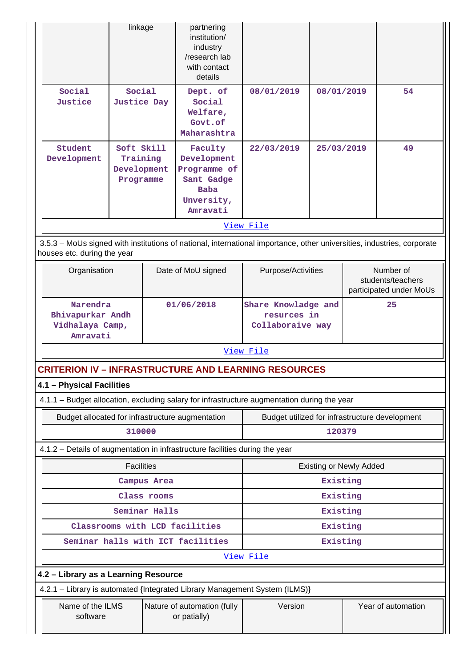|                                                                                                                                                       | linkage                                                     |                                             | partnering<br>institution/<br>industry<br>/research lab<br>with contact<br>details            |                                                        |            |                                                           |    |
|-------------------------------------------------------------------------------------------------------------------------------------------------------|-------------------------------------------------------------|---------------------------------------------|-----------------------------------------------------------------------------------------------|--------------------------------------------------------|------------|-----------------------------------------------------------|----|
| Social<br>Justice                                                                                                                                     | Social<br><b>Justice Day</b>                                |                                             | Dept. of<br>Social<br>Welfare,<br>Govt.of<br>Maharashtra                                      | 08/01/2019                                             | 08/01/2019 |                                                           | 54 |
| Student<br>Development                                                                                                                                | Soft Skill<br>Training<br>Development<br>Programme          |                                             | Faculty<br>Development<br>Programme of<br>Sant Gadge<br><b>Baba</b><br>Unversity,<br>Amravati | 22/03/2019                                             | 25/03/2019 |                                                           | 49 |
|                                                                                                                                                       |                                                             |                                             |                                                                                               | View File                                              |            |                                                           |    |
| 3.5.3 - MoUs signed with institutions of national, international importance, other universities, industries, corporate<br>houses etc. during the year |                                                             |                                             |                                                                                               |                                                        |            |                                                           |    |
| Organisation                                                                                                                                          |                                                             |                                             | Date of MoU signed                                                                            | Purpose/Activities                                     |            | Number of<br>students/teachers<br>participated under MoUs |    |
|                                                                                                                                                       | Narendra<br>Bhivapurkar Andh<br>Vidhalaya Camp,<br>Amravati |                                             | 01/06/2018                                                                                    | Share Knowladge and<br>resurces in<br>Collaboraive way |            | 25                                                        |    |
|                                                                                                                                                       |                                                             |                                             |                                                                                               | View File                                              |            |                                                           |    |
| <b>CRITERION IV - INFRASTRUCTURE AND LEARNING RESOURCES</b>                                                                                           |                                                             |                                             |                                                                                               |                                                        |            |                                                           |    |
| 4.1 - Physical Facilities                                                                                                                             |                                                             |                                             |                                                                                               |                                                        |            |                                                           |    |
| 4.1.1 - Budget allocation, excluding salary for infrastructure augmentation during the year                                                           |                                                             |                                             |                                                                                               |                                                        |            |                                                           |    |
| Budget allocated for infrastructure augmentation                                                                                                      |                                                             |                                             |                                                                                               | Budget utilized for infrastructure development         |            |                                                           |    |
|                                                                                                                                                       | 310000                                                      |                                             |                                                                                               |                                                        | 120379     |                                                           |    |
| 4.1.2 - Details of augmentation in infrastructure facilities during the year                                                                          |                                                             |                                             |                                                                                               |                                                        |            |                                                           |    |
|                                                                                                                                                       | <b>Facilities</b>                                           |                                             |                                                                                               | <b>Existing or Newly Added</b>                         |            |                                                           |    |
|                                                                                                                                                       |                                                             | Campus Area                                 |                                                                                               | Existing                                               |            |                                                           |    |
|                                                                                                                                                       |                                                             | Class rooms                                 |                                                                                               | Existing                                               |            |                                                           |    |
| Seminar Halls                                                                                                                                         |                                                             |                                             | Existing                                                                                      |                                                        |            |                                                           |    |
| Classrooms with LCD facilities                                                                                                                        |                                                             |                                             | Existing                                                                                      |                                                        |            |                                                           |    |
|                                                                                                                                                       | Seminar halls with ICT facilities                           |                                             |                                                                                               | View File                                              | Existing   |                                                           |    |
| 4.2 - Library as a Learning Resource                                                                                                                  |                                                             |                                             |                                                                                               |                                                        |            |                                                           |    |
| 4.2.1 - Library is automated {Integrated Library Management System (ILMS)}                                                                            |                                                             |                                             |                                                                                               |                                                        |            |                                                           |    |
| Name of the ILMS<br>software                                                                                                                          |                                                             | Nature of automation (fully<br>or patially) | Version                                                                                       |                                                        |            | Year of automation                                        |    |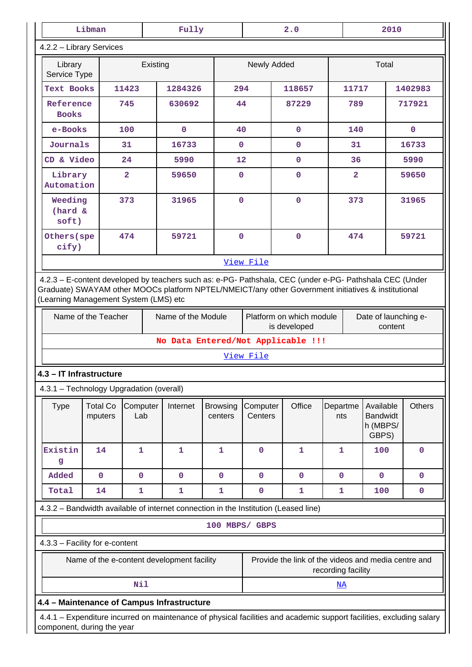| Libman<br>Fully                          |                                                                                                                                                                                                                                                                                                                                                                                     |                         |                                                                                     |                            | 2.0                 |              | 2010                    |                                                   |               |
|------------------------------------------|-------------------------------------------------------------------------------------------------------------------------------------------------------------------------------------------------------------------------------------------------------------------------------------------------------------------------------------------------------------------------------------|-------------------------|-------------------------------------------------------------------------------------|----------------------------|---------------------|--------------|-------------------------|---------------------------------------------------|---------------|
| 4.2.2 - Library Services                 |                                                                                                                                                                                                                                                                                                                                                                                     |                         |                                                                                     |                            |                     |              |                         |                                                   |               |
| Library<br>Service Type                  |                                                                                                                                                                                                                                                                                                                                                                                     |                         | Existing                                                                            |                            | Newly Added         |              |                         | Total                                             |               |
| Text Books                               |                                                                                                                                                                                                                                                                                                                                                                                     | 11423                   | 1284326                                                                             | 294                        |                     | 118657       | 11717                   |                                                   | 1402983       |
| Reference<br><b>Books</b>                |                                                                                                                                                                                                                                                                                                                                                                                     | 745                     | 630692                                                                              | 44                         |                     | 87229        | 789                     |                                                   | 717921        |
| e-Books                                  |                                                                                                                                                                                                                                                                                                                                                                                     | 100                     | $\mathbf 0$                                                                         | 40                         |                     | $\mathbf 0$  | 140                     |                                                   | $\mathbf 0$   |
| Journals                                 |                                                                                                                                                                                                                                                                                                                                                                                     | 31                      | 16733                                                                               | $\mathbf 0$                |                     | $\mathbf 0$  | 31                      |                                                   | 16733         |
| CD & Video                               |                                                                                                                                                                                                                                                                                                                                                                                     | 24                      | 5990                                                                                | 12                         |                     | $\mathbf 0$  | 36                      |                                                   | 5990          |
| Library<br>Automation                    |                                                                                                                                                                                                                                                                                                                                                                                     | $\overline{\mathbf{2}}$ | 59650                                                                               | $\mathbf 0$                |                     | $\mathbf 0$  | $\overline{\mathbf{2}}$ |                                                   | 59650         |
| Weeding<br>(hard &<br>soft)              |                                                                                                                                                                                                                                                                                                                                                                                     | 373                     | 31965                                                                               | $\mathbf 0$                |                     | $\pmb{0}$    | 373                     |                                                   | 31965         |
| Others (spe<br>cify)                     |                                                                                                                                                                                                                                                                                                                                                                                     | 474                     | 59721                                                                               | $\overline{0}$             |                     | $\mathbf 0$  | 474                     |                                                   | 59721         |
|                                          |                                                                                                                                                                                                                                                                                                                                                                                     |                         |                                                                                     |                            | View File           |              |                         |                                                   |               |
|                                          | 4.2.3 - E-content developed by teachers such as: e-PG- Pathshala, CEC (under e-PG- Pathshala CEC (Under<br>Graduate) SWAYAM other MOOCs platform NPTEL/NMEICT/any other Government initiatives & institutional<br>(Learning Management System (LMS) etc<br>Name of the Teacher<br>Platform on which module<br>Name of the Module<br>Date of launching e-<br>is developed<br>content |                         |                                                                                     |                            |                     |              |                         |                                                   |               |
|                                          |                                                                                                                                                                                                                                                                                                                                                                                     |                         | No Data Entered/Not Applicable !!!                                                  |                            |                     |              |                         |                                                   |               |
|                                          |                                                                                                                                                                                                                                                                                                                                                                                     |                         |                                                                                     |                            | View File           |              |                         |                                                   |               |
| 4.3 - IT Infrastructure                  |                                                                                                                                                                                                                                                                                                                                                                                     |                         |                                                                                     |                            |                     |              |                         |                                                   |               |
| 4.3.1 - Technology Upgradation (overall) |                                                                                                                                                                                                                                                                                                                                                                                     |                         |                                                                                     |                            |                     |              |                         |                                                   |               |
| <b>Type</b>                              | <b>Total Co</b><br>mputers                                                                                                                                                                                                                                                                                                                                                          | Computer<br>Lab         | Internet                                                                            | <b>Browsing</b><br>centers | Computer<br>Centers | Office       | Departme<br>nts         | Available<br><b>Bandwidt</b><br>h (MBPS/<br>GBPS) | <b>Others</b> |
| Existin<br>g                             | 14                                                                                                                                                                                                                                                                                                                                                                                  | $\mathbf{1}$            | $\mathbf{1}$                                                                        | $\mathbf{1}$               | $\mathbf 0$         | 1            | 1                       | 100                                               | $\mathbf 0$   |
| Added                                    | $\mathbf 0$                                                                                                                                                                                                                                                                                                                                                                         | $\mathbf 0$             | $\mathbf 0$                                                                         | $\mathbf 0$                | $\mathbf 0$         | $\mathbf 0$  | $\mathbf 0$             | $\mathbf 0$                                       | $\mathbf 0$   |
| Total                                    | 14                                                                                                                                                                                                                                                                                                                                                                                  | $\mathbf{1}$            | $\mathbf{1}$                                                                        | $\mathbf{1}$               | $\pmb{0}$           | $\mathbf{1}$ | $\mathbf{1}$            | 100                                               | $\pmb{0}$     |
|                                          |                                                                                                                                                                                                                                                                                                                                                                                     |                         | 4.3.2 - Bandwidth available of internet connection in the Institution (Leased line) |                            |                     |              |                         |                                                   |               |
|                                          |                                                                                                                                                                                                                                                                                                                                                                                     |                         |                                                                                     | 100 MBPS/ GBPS             |                     |              |                         |                                                   |               |
| 4.3.3 - Facility for e-content           |                                                                                                                                                                                                                                                                                                                                                                                     |                         |                                                                                     |                            |                     |              |                         |                                                   |               |
|                                          | Provide the link of the videos and media centre and<br>Name of the e-content development facility<br>recording facility                                                                                                                                                                                                                                                             |                         |                                                                                     |                            |                     |              |                         |                                                   |               |
|                                          |                                                                                                                                                                                                                                                                                                                                                                                     | Nil                     |                                                                                     |                            |                     |              | $\underline{\text{NA}}$ |                                                   |               |
|                                          | 4.4 - Maintenance of Campus Infrastructure                                                                                                                                                                                                                                                                                                                                          |                         |                                                                                     |                            |                     |              |                         |                                                   |               |
|                                          | 4.4.1 – Expenditure incurred on maintenance of physical facilities and academic support facilities, excluding salary<br>component, during the year                                                                                                                                                                                                                                  |                         |                                                                                     |                            |                     |              |                         |                                                   |               |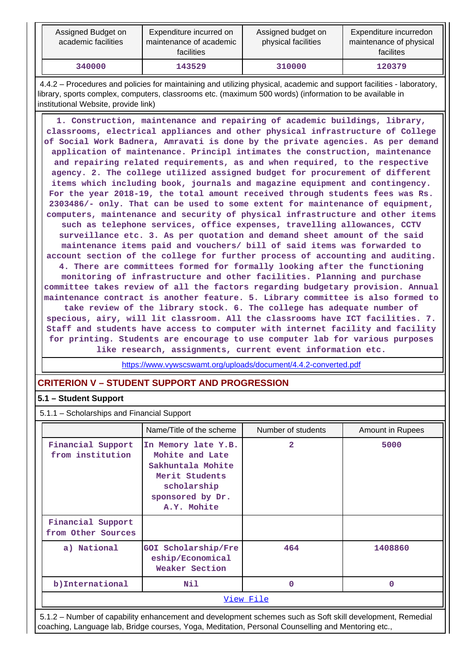| Assigned Budget on<br>academic facilities | Expenditure incurred on<br>maintenance of academic<br>facilities | Assigned budget on<br>physical facilities | Expenditure incurredon<br>maintenance of physical<br>facilites |
|-------------------------------------------|------------------------------------------------------------------|-------------------------------------------|----------------------------------------------------------------|
| 340000                                    | 143529                                                           | 310000                                    | 120379                                                         |

 4.4.2 – Procedures and policies for maintaining and utilizing physical, academic and support facilities - laboratory, library, sports complex, computers, classrooms etc. (maximum 500 words) (information to be available in institutional Website, provide link)

 **1. Construction, maintenance and repairing of academic buildings, library, classrooms, electrical appliances and other physical infrastructure of College of Social Work Badnera, Amravati is done by the private agencies. As per demand application of maintenance. Principl intimates the construction, maintenance and repairing related requirements, as and when required, to the respective agency. 2. The college utilized assigned budget for procurement of different items which including book, journals and magazine equipment and contingency. For the year 2018-19, the total amount received through students fees was Rs. 2303486/- only. That can be used to some extent for maintenance of equipment, computers, maintenance and security of physical infrastructure and other items such as telephone services, office expenses, travelling allowances, CCTV surveillance etc. 3. As per quotation and demand sheet amount of the said maintenance items paid and vouchers/ bill of said items was forwarded to account section of the college for further process of accounting and auditing. 4. There are committees formed for formally looking after the functioning monitoring of infrastructure and other facilities. Planning and purchase committee takes review of all the factors regarding budgetary provision. Annual maintenance contract is another feature. 5. Library committee is also formed to take review of the library stock. 6. The college has adequate number of specious, airy, will lit classroom. All the classrooms have ICT facilities. 7. Staff and students have access to computer with internet facility and facility for printing. Students are encourage to use computer lab for various purposes like research, assignments, current event information etc.**

<https://www.vywscswamt.org/uploads/document/4.4.2-converted.pdf>

# **CRITERION V – STUDENT SUPPORT AND PROGRESSION**

### **5.1 – Student Support**

5.1.1 – Scholarships and Financial Support

|                                         | Name/Title of the scheme                                                                                                        | Number of students | Amount in Rupees |  |  |
|-----------------------------------------|---------------------------------------------------------------------------------------------------------------------------------|--------------------|------------------|--|--|
| Financial Support<br>from institution   | In Memory late Y.B.<br>Mohite and Late<br>Sakhuntala Mohite<br>Merit Students<br>scholarship<br>sponsored by Dr.<br>A.Y. Mohite | $\overline{a}$     | 5000             |  |  |
| Financial Support<br>from Other Sources |                                                                                                                                 |                    |                  |  |  |
| a) National                             | GOI Scholarship/Fre<br>eship/Economical<br><b>Weaker Section</b>                                                                | 464                | 1408860          |  |  |
| b) International                        | Nil                                                                                                                             | $\Omega$           | $\Omega$         |  |  |
| View File                               |                                                                                                                                 |                    |                  |  |  |

 5.1.2 – Number of capability enhancement and development schemes such as Soft skill development, Remedial coaching, Language lab, Bridge courses, Yoga, Meditation, Personal Counselling and Mentoring etc.,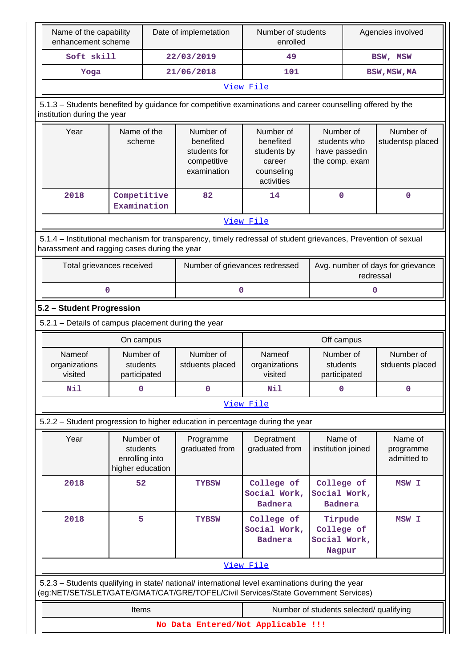| Name of the capability<br>enhancement scheme                                                                                                                                           |                                                             | Date of implemetation |                                                                      | Number of students<br>enrolled                                                   |                                                              | Agencies involved |                                     |
|----------------------------------------------------------------------------------------------------------------------------------------------------------------------------------------|-------------------------------------------------------------|-----------------------|----------------------------------------------------------------------|----------------------------------------------------------------------------------|--------------------------------------------------------------|-------------------|-------------------------------------|
| Soft skill                                                                                                                                                                             |                                                             |                       | 22/03/2019                                                           | 49                                                                               |                                                              |                   | BSW, MSW                            |
| Yoga                                                                                                                                                                                   |                                                             |                       | 21/06/2018<br>101                                                    |                                                                                  |                                                              | BSW, MSW, MA      |                                     |
|                                                                                                                                                                                        |                                                             |                       |                                                                      | View File                                                                        |                                                              |                   |                                     |
| 5.1.3 - Students benefited by guidance for competitive examinations and career counselling offered by the<br>institution during the year                                               |                                                             |                       |                                                                      |                                                                                  |                                                              |                   |                                     |
| Year                                                                                                                                                                                   | Name of the<br>scheme                                       |                       | Number of<br>benefited<br>students for<br>competitive<br>examination | Number of<br>benefited<br>students by<br>career<br>counseling<br>activities      | Number of<br>students who<br>have passedin<br>the comp. exam |                   | Number of<br>studentsp placed       |
| 2018                                                                                                                                                                                   | Competitive<br>Examination                                  |                       | 82                                                                   | 14                                                                               | $\mathbf 0$                                                  |                   | $\mathbf 0$                         |
|                                                                                                                                                                                        |                                                             |                       |                                                                      | View File                                                                        |                                                              |                   |                                     |
| 5.1.4 - Institutional mechanism for transparency, timely redressal of student grievances, Prevention of sexual<br>harassment and ragging cases during the year                         |                                                             |                       |                                                                      |                                                                                  |                                                              |                   |                                     |
| Total grievances received                                                                                                                                                              |                                                             |                       |                                                                      | Avg. number of days for grievance<br>Number of grievances redressed<br>redressal |                                                              |                   |                                     |
|                                                                                                                                                                                        | 0                                                           |                       | 0                                                                    |                                                                                  | 0                                                            |                   |                                     |
| 5.2 - Student Progression                                                                                                                                                              |                                                             |                       |                                                                      |                                                                                  |                                                              |                   |                                     |
| 5.2.1 - Details of campus placement during the year                                                                                                                                    |                                                             |                       |                                                                      |                                                                                  |                                                              |                   |                                     |
|                                                                                                                                                                                        | On campus                                                   |                       |                                                                      |                                                                                  | Off campus                                                   |                   |                                     |
| Nameof<br>organizations<br>visited                                                                                                                                                     | Number of<br>students<br>participated                       |                       | Number of<br>stduents placed                                         | Nameof<br>organizations<br>visited                                               | Number of<br>students<br>participated                        |                   | Number of<br>stduents placed        |
| Nil                                                                                                                                                                                    | $\mathbf 0$                                                 |                       | $\mathbf 0$                                                          | Nil                                                                              | $\mathbf 0$                                                  |                   | $\mathbf 0$                         |
|                                                                                                                                                                                        |                                                             |                       |                                                                      | View File                                                                        |                                                              |                   |                                     |
| 5.2.2 - Student progression to higher education in percentage during the year                                                                                                          |                                                             |                       |                                                                      |                                                                                  |                                                              |                   |                                     |
| Year                                                                                                                                                                                   | Number of<br>students<br>enrolling into<br>higher education |                       | Programme<br>graduated from                                          | Depratment<br>graduated from                                                     | Name of<br>institution joined                                |                   | Name of<br>programme<br>admitted to |
| 2018                                                                                                                                                                                   | 52                                                          |                       | <b>TYBSW</b>                                                         | College of<br>Social Work,<br><b>Badnera</b>                                     | College of<br>Social Work,<br><b>Badnera</b>                 |                   | MSW I                               |
| 5<br>2018                                                                                                                                                                              |                                                             | <b>TYBSW</b>          | College of<br>Social Work,<br><b>Badnera</b>                         | Tirpude<br>College of<br>Social Work,<br>Nagpur                                  |                                                              | MSW I             |                                     |
|                                                                                                                                                                                        |                                                             |                       |                                                                      | View File                                                                        |                                                              |                   |                                     |
| 5.2.3 - Students qualifying in state/ national/ international level examinations during the year<br>(eg:NET/SET/SLET/GATE/GMAT/CAT/GRE/TOFEL/Civil Services/State Government Services) |                                                             |                       |                                                                      |                                                                                  |                                                              |                   |                                     |
|                                                                                                                                                                                        | Items<br>Number of students selected/ qualifying            |                       |                                                                      |                                                                                  |                                                              |                   |                                     |
|                                                                                                                                                                                        |                                                             |                       | No Data Entered/Not Applicable !!!                                   |                                                                                  |                                                              |                   |                                     |
|                                                                                                                                                                                        |                                                             |                       |                                                                      |                                                                                  |                                                              |                   |                                     |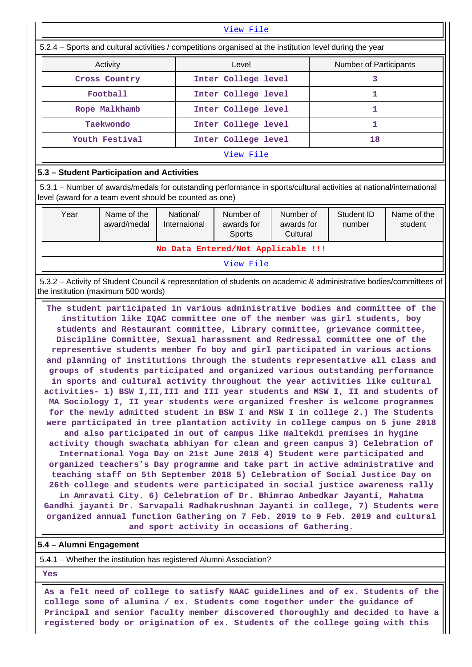| View File                                                                                                |                     |                               |  |  |  |  |
|----------------------------------------------------------------------------------------------------------|---------------------|-------------------------------|--|--|--|--|
| 5.2.4 – Sports and cultural activities / competitions organised at the institution level during the year |                     |                               |  |  |  |  |
| Activity                                                                                                 | Level               | <b>Number of Participants</b> |  |  |  |  |
| Cross Country                                                                                            | Inter College level |                               |  |  |  |  |
| Football                                                                                                 | Inter College level |                               |  |  |  |  |
| Rope Malkhamb                                                                                            | Inter College level |                               |  |  |  |  |
| Taekwondo                                                                                                | Inter College level |                               |  |  |  |  |
| Youth Festival                                                                                           | Inter College level | 18                            |  |  |  |  |
|                                                                                                          | View File           |                               |  |  |  |  |

### **5.3 – Student Participation and Activities**

 5.3.1 – Number of awards/medals for outstanding performance in sports/cultural activities at national/international level (award for a team event should be counted as one)

| Year                               | Name of the<br>award/medal | National/<br>Internaional | Number of<br>awards for<br>Sports | Number of<br>awards for<br>Cultural | Student ID<br>number | Name of the<br>student |
|------------------------------------|----------------------------|---------------------------|-----------------------------------|-------------------------------------|----------------------|------------------------|
| No Data Entered/Not Applicable !!! |                            |                           |                                   |                                     |                      |                        |
| View File                          |                            |                           |                                   |                                     |                      |                        |

 5.3.2 – Activity of Student Council & representation of students on academic & administrative bodies/committees of the institution (maximum 500 words)

 **The student participated in various administrative bodies and committee of the institution like IQAC committee one of the member was girl students, boy students and Restaurant committee, Library committee, grievance committee, Discipline Committee, Sexual harassment and Redressal committee one of the representive students member fo boy and girl participated in various actions and planning of institutions through the students representative all class and groups of students participated and organized various outstanding performance in sports and cultural activity throughout the year activities like cultural activities- 1) BSW I,II,III and III year students and MSW I, II and students of MA Sociology I, II year students were organized fresher is welcome programmes for the newly admitted student in BSW I and MSW I in college 2.) The Students were participated in tree plantation activity in college campus on 5 june 2018 and also participated in out of campus like maltekdi premises in hygine activity though swachata abhiyan for clean and green campus 3) Celebration of International Yoga Day on 21st June 2018 4) Student were participated and organized teachers's Day programme and take part in active administrative and teaching staff on 5th September 2018 5) Celebration of Social Justice Day on 26th college and students were participated in social justice awareness rally in Amravati City. 6) Celebration of Dr. Bhimrao Ambedkar Jayanti, Mahatma**

**Gandhi jayanti Dr. Sarvapali Radhakrushnan Jayanti in college, 7) Students were organized annual function Gathering on 7 Feb. 2019 to 9 Feb. 2019 and cultural and sport activity in occasions of Gathering.**

### **5.4 – Alumni Engagement**

5.4.1 – Whether the institution has registered Alumni Association?

 **Yes**

 **As a felt need of college to satisfy NAAC guidelines and of ex. Students of the college some of alumina / ex. Students come together under the guidance of Principal and senior faculty member discovered thoroughly and decided to have a registered body or origination of ex. Students of the college going with this**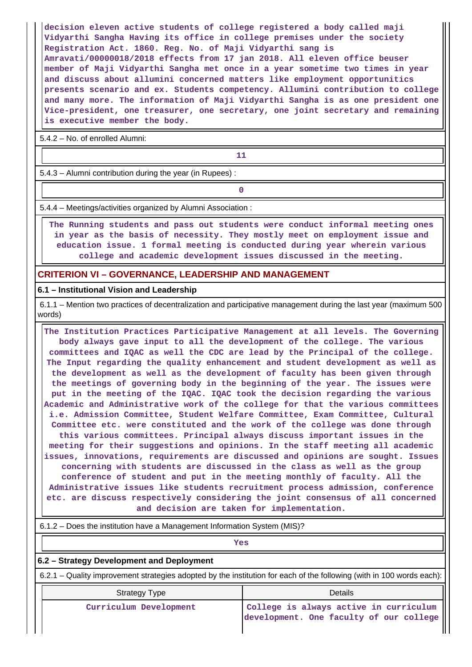**decision eleven active students of college registered a body called maji Vidyarthi Sangha Having its office in college premises under the society Registration Act. 1860. Reg. No. of Maji Vidyarthi sang is Amravati/00000018/2018 effects from 17 jan 2018. All eleven office beuser member of Maji Vidyarthi Sangha met once in a year sometime two times in year and discuss about allumini concerned matters like employment opportunitics presents scenario and ex. Students competency. Allumini contribution to college and many more. The information of Maji Vidyarthi Sangha is as one president one Vice-president, one treasurer, one secretary, one joint secretary and remaining is executive member the body.**

5.4.2 – No. of enrolled Alumni:

**11** 

5.4.3 – Alumni contribution during the year (in Rupees) :

**0**

5.4.4 – Meetings/activities organized by Alumni Association :

 **The Running students and pass out students were conduct informal meeting ones in year as the basis of necessity. They mostly meet on employment issue and education issue. 1 formal meeting is conducted during year wherein various college and academic development issues discussed in the meeting.**

### **CRITERION VI – GOVERNANCE, LEADERSHIP AND MANAGEMENT**

**6.1 – Institutional Vision and Leadership**

 6.1.1 – Mention two practices of decentralization and participative management during the last year (maximum 500 words)

 **The Institution Practices Participative Management at all levels. The Governing body always gave input to all the development of the college. The various committees and IQAC as well the CDC are lead by the Principal of the college. The Input regarding the quality enhancement and student development as well as the development as well as the development of faculty has been given through the meetings of governing body in the beginning of the year. The issues were put in the meeting of the IQAC. IQAC took the decision regarding the various Academic and Administrative work of the college for that the various committees i.e. Admission Committee, Student Welfare Committee, Exam Committee, Cultural Committee etc. were constituted and the work of the college was done through this various committees. Principal always discuss important issues in the meeting for their suggestions and opinions. In the staff meeting all academic issues, innovations, requirements are discussed and opinions are sought. Issues concerning with students are discussed in the class as well as the group conference of student and put in the meeting monthly of faculty. All the Administrative issues like students recruitment process admission, conference etc. are discuss respectively considering the joint consensus of all concerned and decision are taken for implementation.**

*Yes* 

# **6.2 – Strategy Development and Deployment**

6.2.1 – Quality improvement strategies adopted by the institution for each of the following (with in 100 words each):

| <b>Strategy Type</b>   | <b>Details</b>                          |  |  |  |
|------------------------|-----------------------------------------|--|--|--|
| Curriculum Development | College is always active in curriculum  |  |  |  |
|                        | development. One faculty of our college |  |  |  |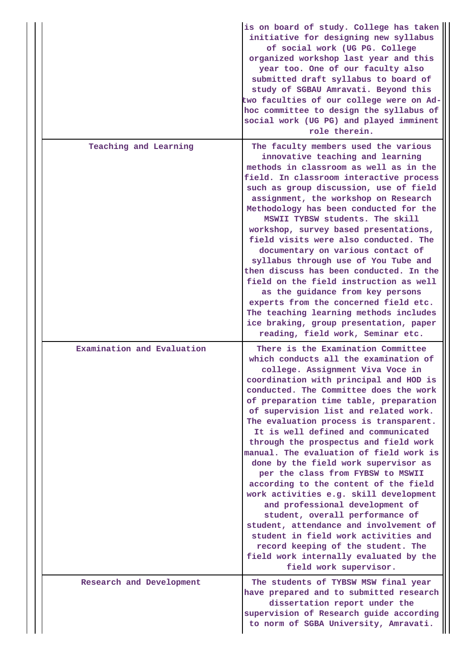|                            | is on board of study. College has taken<br>initiative for designing new syllabus<br>of social work (UG PG. College<br>organized workshop last year and this<br>year too. One of our faculty also<br>submitted draft syllabus to board of<br>study of SGBAU Amravati. Beyond this<br>two faculties of our college were on Ad-<br>hoc committee to design the syllabus of<br>social work (UG PG) and played imminent<br>role therein.                                                                                                                                                                                                                                                                                                                                                                                                                                                           |
|----------------------------|-----------------------------------------------------------------------------------------------------------------------------------------------------------------------------------------------------------------------------------------------------------------------------------------------------------------------------------------------------------------------------------------------------------------------------------------------------------------------------------------------------------------------------------------------------------------------------------------------------------------------------------------------------------------------------------------------------------------------------------------------------------------------------------------------------------------------------------------------------------------------------------------------|
| Teaching and Learning      | The faculty members used the various<br>innovative teaching and learning<br>methods in classroom as well as in the<br>field. In classroom interactive process<br>such as group discussion, use of field<br>assignment, the workshop on Research<br>Methodology has been conducted for the<br>MSWII TYBSW students. The skill<br>workshop, survey based presentations,<br>field visits were also conducted. The<br>documentary on various contact of<br>syllabus through use of You Tube and<br>then discuss has been conducted. In the<br>field on the field instruction as well<br>as the guidance from key persons<br>experts from the concerned field etc.<br>The teaching learning methods includes<br>ice braking, group presentation, paper<br>reading, field work, Seminar etc.                                                                                                        |
| Examination and Evaluation | There is the Examination Committee<br>which conducts all the examination of<br>college. Assignment Viva Voce in<br>coordination with principal and HOD is<br>conducted. The Committee does the work<br>of preparation time table, preparation<br>of supervision list and related work.<br>The evaluation process is transparent.<br>It is well defined and communicated<br>through the prospectus and field work<br>manual. The evaluation of field work is<br>done by the field work supervisor as<br>per the class from FYBSW to MSWII<br>according to the content of the field<br>work activities e.g. skill development<br>and professional development of<br>student, overall performance of<br>student, attendance and involvement of<br>student in field work activities and<br>record keeping of the student. The<br>field work internally evaluated by the<br>field work supervisor. |
| Research and Development   | The students of TYBSW MSW final year<br>have prepared and to submitted research<br>dissertation report under the<br>supervision of Research guide according<br>to norm of SGBA University, Amravati.                                                                                                                                                                                                                                                                                                                                                                                                                                                                                                                                                                                                                                                                                          |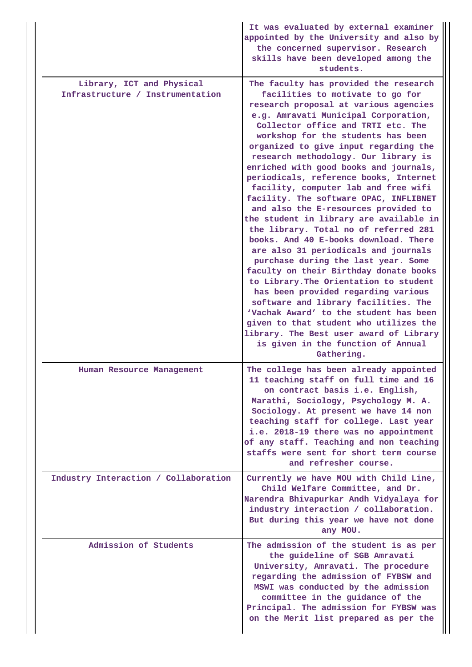|  |                                                               | It was evaluated by external examiner<br>appointed by the University and also by<br>the concerned supervisor. Research<br>skills have been developed among the<br>students.                                                                                                                                                                                                                                                                                                                                                                                                                                                                                                                                                                                                                                                                                                                                                                                                                                                                                                                             |
|--|---------------------------------------------------------------|---------------------------------------------------------------------------------------------------------------------------------------------------------------------------------------------------------------------------------------------------------------------------------------------------------------------------------------------------------------------------------------------------------------------------------------------------------------------------------------------------------------------------------------------------------------------------------------------------------------------------------------------------------------------------------------------------------------------------------------------------------------------------------------------------------------------------------------------------------------------------------------------------------------------------------------------------------------------------------------------------------------------------------------------------------------------------------------------------------|
|  | Library, ICT and Physical<br>Infrastructure / Instrumentation | The faculty has provided the research<br>facilities to motivate to go for<br>research proposal at various agencies<br>e.g. Amravati Municipal Corporation,<br>Collector office and TRTI etc. The<br>workshop for the students has been<br>organized to give input regarding the<br>research methodology. Our library is<br>enriched with good books and journals,<br>periodicals, reference books, Internet<br>facility, computer lab and free wifi<br>facility. The software OPAC, INFLIBNET<br>and also the E-resources provided to<br>the student in library are available in<br>the library. Total no of referred 281<br>books. And 40 E-books download. There<br>are also 31 periodicals and journals<br>purchase during the last year. Some<br>faculty on their Birthday donate books<br>to Library. The Orientation to student<br>has been provided regarding various<br>software and library facilities. The<br>'Vachak Award' to the student has been<br>given to that student who utilizes the<br>library. The Best user award of Library<br>is given in the function of Annual<br>Gathering. |
|  | Human Resource Management                                     | The college has been already appointed<br>11 teaching staff on full time and 16<br>on contract basis i.e. English,<br>Marathi, Sociology, Psychology M. A.<br>Sociology. At present we have 14 non<br>teaching staff for college. Last year<br>i.e. 2018-19 there was no appointment<br>of any staff. Teaching and non teaching<br>staffs were sent for short term course<br>and refresher course.                                                                                                                                                                                                                                                                                                                                                                                                                                                                                                                                                                                                                                                                                                      |
|  | Industry Interaction / Collaboration                          | Currently we have MOU with Child Line,<br>Child Welfare Committee, and Dr.<br>Narendra Bhivapurkar Andh Vidyalaya for<br>industry interaction / collaboration.<br>But during this year we have not done<br>any MOU.                                                                                                                                                                                                                                                                                                                                                                                                                                                                                                                                                                                                                                                                                                                                                                                                                                                                                     |
|  | Admission of Students                                         | The admission of the student is as per<br>the guideline of SGB Amravati<br>University, Amravati. The procedure<br>regarding the admission of FYBSW and<br>MSWI was conducted by the admission<br>committee in the guidance of the<br>Principal. The admission for FYBSW was<br>on the Merit list prepared as per the                                                                                                                                                                                                                                                                                                                                                                                                                                                                                                                                                                                                                                                                                                                                                                                    |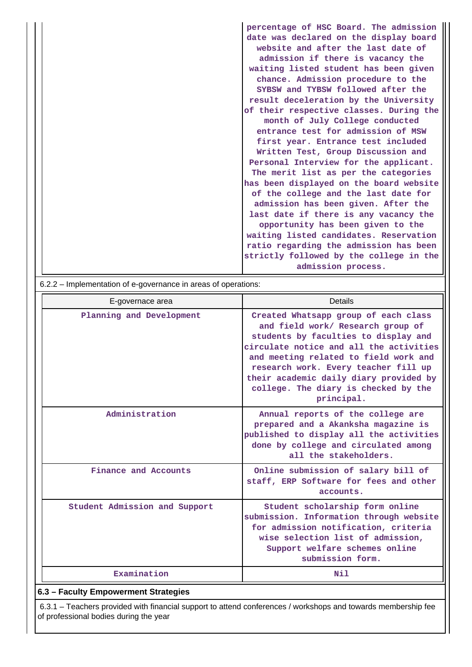|                                                           | percentage of HSC Board. The admission<br>date was declared on the display board |
|-----------------------------------------------------------|----------------------------------------------------------------------------------|
|                                                           | website and after the last date of                                               |
|                                                           | admission if there is vacancy the                                                |
|                                                           | waiting listed student has been given                                            |
|                                                           | chance. Admission procedure to the                                               |
|                                                           | SYBSW and TYBSW followed after the                                               |
|                                                           | result deceleration by the University                                            |
|                                                           | of their respective classes. During the                                          |
|                                                           | month of July College conducted                                                  |
|                                                           | entrance test for admission of MSW                                               |
|                                                           | first year. Entrance test included                                               |
|                                                           | Written Test, Group Discussion and                                               |
|                                                           | Personal Interview for the applicant.                                            |
|                                                           | The merit list as per the categories                                             |
|                                                           | has been displayed on the board website                                          |
|                                                           | of the college and the last date for                                             |
|                                                           | admission has been given. After the                                              |
|                                                           | last date if there is any vacancy the                                            |
|                                                           | opportunity has been given to the                                                |
|                                                           | waiting listed candidates. Reservation                                           |
|                                                           | ratio regarding the admission has been                                           |
|                                                           | strictly followed by the college in the                                          |
|                                                           | admission process.                                                               |
| 622 Implementation of a governance in arose of energiance |                                                                                  |

| 6.2.2 – implementation of e-governance in areas of operations: |                                                                                                                                                                                                                                                                                                                                               |  |  |  |  |  |  |
|----------------------------------------------------------------|-----------------------------------------------------------------------------------------------------------------------------------------------------------------------------------------------------------------------------------------------------------------------------------------------------------------------------------------------|--|--|--|--|--|--|
| E-governace area                                               | Details                                                                                                                                                                                                                                                                                                                                       |  |  |  |  |  |  |
| Planning and Development                                       | Created Whatsapp group of each class<br>and field work/ Research group of<br>students by faculties to display and<br>circulate notice and all the activities<br>and meeting related to field work and<br>research work. Every teacher fill up<br>their academic daily diary provided by<br>college. The diary is checked by the<br>principal. |  |  |  |  |  |  |
| Administration                                                 | Annual reports of the college are<br>prepared and a Akanksha magazine is<br>published to display all the activities<br>done by college and circulated among<br>all the stakeholders.                                                                                                                                                          |  |  |  |  |  |  |
| Finance and Accounts                                           | Online submission of salary bill of<br>staff, ERP Software for fees and other<br>accounts.                                                                                                                                                                                                                                                    |  |  |  |  |  |  |
| Student Admission and Support                                  | Student scholarship form online<br>submission. Information through website<br>for admission notification, criteria<br>wise selection list of admission,<br>Support welfare schemes online<br>submission form.                                                                                                                                 |  |  |  |  |  |  |
| Examination                                                    | Nil                                                                                                                                                                                                                                                                                                                                           |  |  |  |  |  |  |
| 6.3 - Faculty Empowerment Strategies                           |                                                                                                                                                                                                                                                                                                                                               |  |  |  |  |  |  |

 6.3.1 – Teachers provided with financial support to attend conferences / workshops and towards membership fee of professional bodies during the year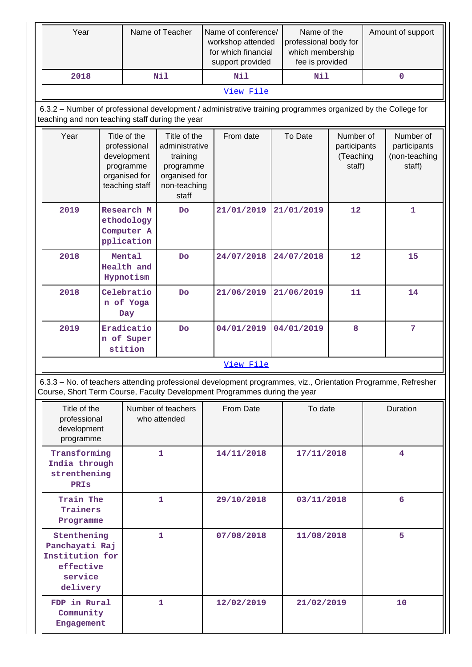| Year                                                                                                                                                                                       | Name of Teacher                                                                                                                                                 |                                                                                             |                                                                                                   | Name of conference/<br>workshop attended<br>for which financial<br>support provided |            | Name of the<br>professional body for<br>which membership<br>fee is provided |                 | Amount of support                                |  |                                                      |
|--------------------------------------------------------------------------------------------------------------------------------------------------------------------------------------------|-----------------------------------------------------------------------------------------------------------------------------------------------------------------|---------------------------------------------------------------------------------------------|---------------------------------------------------------------------------------------------------|-------------------------------------------------------------------------------------|------------|-----------------------------------------------------------------------------|-----------------|--------------------------------------------------|--|------------------------------------------------------|
| 2018                                                                                                                                                                                       |                                                                                                                                                                 |                                                                                             | Nil                                                                                               |                                                                                     | Nil        |                                                                             | Nil             |                                                  |  | $\mathbf 0$                                          |
|                                                                                                                                                                                            |                                                                                                                                                                 |                                                                                             |                                                                                                   |                                                                                     | View File  |                                                                             |                 |                                                  |  |                                                      |
|                                                                                                                                                                                            | 6.3.2 – Number of professional development / administrative training programmes organized by the College for<br>teaching and non teaching staff during the year |                                                                                             |                                                                                                   |                                                                                     |            |                                                                             |                 |                                                  |  |                                                      |
| Year                                                                                                                                                                                       |                                                                                                                                                                 | Title of the<br>professional<br>development<br>programme<br>organised for<br>teaching staff | Title of the<br>administrative<br>training<br>programme<br>organised for<br>non-teaching<br>staff |                                                                                     | From date  | To Date                                                                     |                 | Number of<br>participants<br>(Teaching<br>staff) |  | Number of<br>participants<br>(non-teaching<br>staff) |
| 2019                                                                                                                                                                                       |                                                                                                                                                                 | Research M<br>ethodology<br>Computer A<br>pplication                                        | <b>Do</b>                                                                                         |                                                                                     | 21/01/2019 |                                                                             | 21/01/2019      | 12                                               |  | $\mathbf{1}$                                         |
| 2018                                                                                                                                                                                       |                                                                                                                                                                 | Mental<br>Health and<br>Hypnotism                                                           | <b>Do</b>                                                                                         |                                                                                     | 24/07/2018 |                                                                             | 24/07/2018      | 12                                               |  | 15                                                   |
| 2018                                                                                                                                                                                       |                                                                                                                                                                 | Celebratio<br>n of Yoga<br>Day                                                              | Do                                                                                                |                                                                                     | 21/06/2019 |                                                                             | 21/06/2019      | 11                                               |  | 14                                                   |
| 2019                                                                                                                                                                                       |                                                                                                                                                                 | Eradicatio<br>n of Super<br>stition                                                         | Do                                                                                                |                                                                                     | 04/01/2019 |                                                                             | 04/01/2019<br>8 |                                                  |  | 7                                                    |
|                                                                                                                                                                                            |                                                                                                                                                                 |                                                                                             |                                                                                                   |                                                                                     | View File  |                                                                             |                 |                                                  |  |                                                      |
| 6.3.3 - No. of teachers attending professional development programmes, viz., Orientation Programme, Refresher<br>Course, Short Term Course, Faculty Development Programmes during the year |                                                                                                                                                                 |                                                                                             |                                                                                                   |                                                                                     |            |                                                                             |                 |                                                  |  |                                                      |
| Title of the<br>professional<br>development<br>programme                                                                                                                                   |                                                                                                                                                                 |                                                                                             | Number of teachers<br>who attended                                                                |                                                                                     | From Date  |                                                                             | To date         |                                                  |  | Duration                                             |
| Transforming<br>India through<br>strenthening<br>PRIS                                                                                                                                      |                                                                                                                                                                 |                                                                                             | $\mathbf{1}$                                                                                      |                                                                                     | 14/11/2018 |                                                                             | 17/11/2018      |                                                  |  | 4                                                    |
| Train The<br>Trainers<br>Programme                                                                                                                                                         |                                                                                                                                                                 |                                                                                             | 1                                                                                                 |                                                                                     | 29/10/2018 |                                                                             | 03/11/2018      |                                                  |  | 6                                                    |
| Stenthening<br>Panchayati Raj                                                                                                                                                              |                                                                                                                                                                 |                                                                                             | 1                                                                                                 |                                                                                     | 07/08/2018 |                                                                             | 11/08/2018      |                                                  |  | 5                                                    |

**1 12/02/2019 21/02/2019 10**

**Institution for effective service delivery**

**FDP in Rural Community Engagement**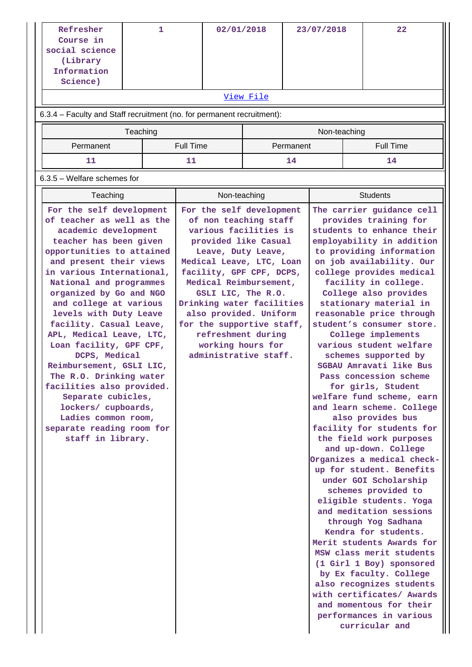| Refresher<br>Course in<br>social science<br>(Library<br>Information<br>Science)                                                                                                                                                                                                                                                                                                                                                                                                                                                                                                                                     |          | 1 |                  | 02/01/2018                                                                                                                                                                                                                                                                                                                                                                               |           |           | 23/07/2018   |  | 22                                                                                                                                                                                                                                                                                                                                                                                                                                                                                                                                                                                                                                                                                                                                                                                                                                                                                                                                                                                                                                                                                                                     |
|---------------------------------------------------------------------------------------------------------------------------------------------------------------------------------------------------------------------------------------------------------------------------------------------------------------------------------------------------------------------------------------------------------------------------------------------------------------------------------------------------------------------------------------------------------------------------------------------------------------------|----------|---|------------------|------------------------------------------------------------------------------------------------------------------------------------------------------------------------------------------------------------------------------------------------------------------------------------------------------------------------------------------------------------------------------------------|-----------|-----------|--------------|--|------------------------------------------------------------------------------------------------------------------------------------------------------------------------------------------------------------------------------------------------------------------------------------------------------------------------------------------------------------------------------------------------------------------------------------------------------------------------------------------------------------------------------------------------------------------------------------------------------------------------------------------------------------------------------------------------------------------------------------------------------------------------------------------------------------------------------------------------------------------------------------------------------------------------------------------------------------------------------------------------------------------------------------------------------------------------------------------------------------------------|
|                                                                                                                                                                                                                                                                                                                                                                                                                                                                                                                                                                                                                     |          |   |                  |                                                                                                                                                                                                                                                                                                                                                                                          | View File |           |              |  |                                                                                                                                                                                                                                                                                                                                                                                                                                                                                                                                                                                                                                                                                                                                                                                                                                                                                                                                                                                                                                                                                                                        |
| 6.3.4 - Faculty and Staff recruitment (no. for permanent recruitment):                                                                                                                                                                                                                                                                                                                                                                                                                                                                                                                                              |          |   |                  |                                                                                                                                                                                                                                                                                                                                                                                          |           |           |              |  |                                                                                                                                                                                                                                                                                                                                                                                                                                                                                                                                                                                                                                                                                                                                                                                                                                                                                                                                                                                                                                                                                                                        |
|                                                                                                                                                                                                                                                                                                                                                                                                                                                                                                                                                                                                                     | Teaching |   |                  |                                                                                                                                                                                                                                                                                                                                                                                          |           |           | Non-teaching |  |                                                                                                                                                                                                                                                                                                                                                                                                                                                                                                                                                                                                                                                                                                                                                                                                                                                                                                                                                                                                                                                                                                                        |
| Permanent                                                                                                                                                                                                                                                                                                                                                                                                                                                                                                                                                                                                           |          |   | <b>Full Time</b> |                                                                                                                                                                                                                                                                                                                                                                                          |           | Permanent |              |  | <b>Full Time</b>                                                                                                                                                                                                                                                                                                                                                                                                                                                                                                                                                                                                                                                                                                                                                                                                                                                                                                                                                                                                                                                                                                       |
| 11                                                                                                                                                                                                                                                                                                                                                                                                                                                                                                                                                                                                                  |          |   | 11               |                                                                                                                                                                                                                                                                                                                                                                                          |           | 14        |              |  | 14                                                                                                                                                                                                                                                                                                                                                                                                                                                                                                                                                                                                                                                                                                                                                                                                                                                                                                                                                                                                                                                                                                                     |
| 6.3.5 - Welfare schemes for                                                                                                                                                                                                                                                                                                                                                                                                                                                                                                                                                                                         |          |   |                  |                                                                                                                                                                                                                                                                                                                                                                                          |           |           |              |  |                                                                                                                                                                                                                                                                                                                                                                                                                                                                                                                                                                                                                                                                                                                                                                                                                                                                                                                                                                                                                                                                                                                        |
| Teaching                                                                                                                                                                                                                                                                                                                                                                                                                                                                                                                                                                                                            |          |   |                  | Non-teaching                                                                                                                                                                                                                                                                                                                                                                             |           |           |              |  | <b>Students</b>                                                                                                                                                                                                                                                                                                                                                                                                                                                                                                                                                                                                                                                                                                                                                                                                                                                                                                                                                                                                                                                                                                        |
| For the self development<br>of teacher as well as the<br>academic development<br>teacher has been given<br>opportunities to attained<br>and present their views<br>in various International,<br>National and programmes<br>organized by Go and NGO<br>and college at various<br>levels with Duty Leave<br>facility. Casual Leave,<br>APL, Medical Leave, LTC,<br>Loan facility, GPF CPF,<br>DCPS, Medical<br>Reimbursement, GSLI LIC,<br>The R.O. Drinking water<br>facilities also provided.<br>Separate cubicles,<br>lockers/ cupboards,<br>Ladies common room,<br>separate reading room for<br>staff in library. |          |   |                  | For the self development<br>of non teaching staff<br>various facilities is<br>provided like Casual<br>Leave, Duty Leave,<br>Medical Leave, LTC, Loan<br>facility, GPF CPF, DCPS,<br>Medical Reimbursement,<br>GSLI LIC, The R.O.<br>Drinking water facilities<br>also provided. Uniform<br>for the supportive staff,<br>refreshment during<br>working hours for<br>administrative staff. |           |           |              |  | The carrier guidance cell<br>provides training for<br>students to enhance their<br>employability in addition<br>to providing information<br>on job availability. Our<br>college provides medical<br>facility in college.<br>College also provides<br>stationary material in<br>reasonable price through<br>student's consumer store.<br>College implements<br>various student welfare<br>schemes supported by<br>SGBAU Amravati like Bus<br>Pass concession scheme<br>for girls, Student<br>welfare fund scheme, earn<br>and learn scheme. College<br>also provides bus<br>facility for students for<br>the field work purposes<br>and up-down. College<br>Organizes a medical check-<br>up for student. Benefits<br>under GOI Scholarship<br>schemes provided to<br>eligible students. Yoga<br>and meditation sessions<br>through Yog Sadhana<br>Kendra for students.<br>Merit students Awards for<br>MSW class merit students<br>(1 Girl 1 Boy) sponsored<br>by Ex faculty. College<br>also recognizes students<br>with certificates/ Awards<br>and momentous for their<br>performances in various<br>curricular and |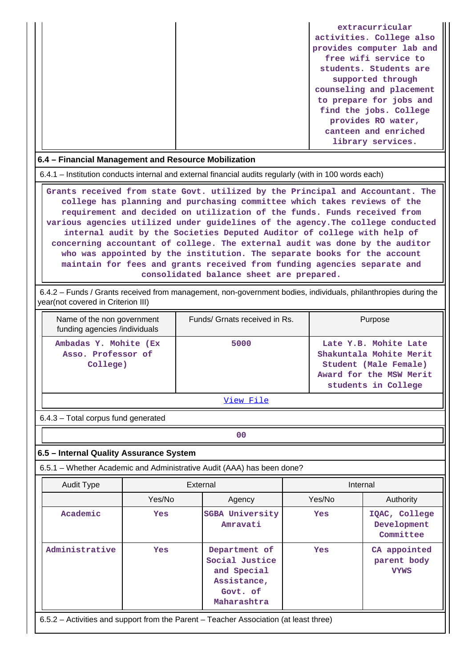|  | extracurricular           |
|--|---------------------------|
|  | activities. College also  |
|  | provides computer lab and |
|  | free wifi service to      |
|  | students. Students are    |
|  | supported through         |
|  | counseling and placement  |
|  | to prepare for jobs and   |
|  | find the jobs. College    |
|  | provides RO water,        |
|  | canteen and enriched      |
|  | library services.         |

### **6.4 – Financial Management and Resource Mobilization**

6.4.1 – Institution conducts internal and external financial audits regularly (with in 100 words each)

 **Grants received from state Govt. utilized by the Principal and Accountant. The college has planning and purchasing committee which takes reviews of the requirement and decided on utilization of the funds. Funds received from various agencies utilized under guidelines of the agency.The college conducted internal audit by the Societies Deputed Auditor of college with help of concerning accountant of college. The external audit was done by the auditor who was appointed by the institution. The separate books for the account maintain for fees and grants received from funding agencies separate and consolidated balance sheet are prepared.**

 6.4.2 – Funds / Grants received from management, non-government bodies, individuals, philanthropies during the year(not covered in Criterion III)

| Name of the non government<br>funding agencies /individuals | Funds/ Grnats received in Rs. | Purpose                                                                                                                     |
|-------------------------------------------------------------|-------------------------------|-----------------------------------------------------------------------------------------------------------------------------|
| Ambadas Y. Mohite (Ex<br>Asso. Professor of<br>College)     | 5000                          | Late Y.B. Mohite Late<br>Shakuntala Mohite Merit<br>Student (Male Female)<br>Award for the MSW Merit<br>students in College |

[View File](https://assessmentonline.naac.gov.in/public/Postacc/Funds_or_Grants/4998_Funds_or_Grants_1584121109.xlsx)

6.4.3 – Total corpus fund generated

# **6.5 – Internal Quality Assurance System**

**00**

6.5.1 – Whether Academic and Administrative Audit (AAA) has been done?

| <b>Audit Type</b> | External                                                                              |                                                                                          | Internal   |                                            |  |  |  |  |  |
|-------------------|---------------------------------------------------------------------------------------|------------------------------------------------------------------------------------------|------------|--------------------------------------------|--|--|--|--|--|
|                   | Yes/No                                                                                | Agency                                                                                   | Yes/No     | Authority                                  |  |  |  |  |  |
| Academic          | Yes                                                                                   | <b>SGBA University</b><br>Amravati                                                       | <b>Yes</b> | IQAC, College<br>Development<br>Committee  |  |  |  |  |  |
| Administrative    | Yes                                                                                   | Department of<br>Social Justice<br>and Special<br>Assistance,<br>Govt. of<br>Maharashtra | <b>Yes</b> | CA appointed<br>parent body<br><b>VYWS</b> |  |  |  |  |  |
|                   | 6.5.2 – Activities and support from the Parent – Teacher Association (at least three) |                                                                                          |            |                                            |  |  |  |  |  |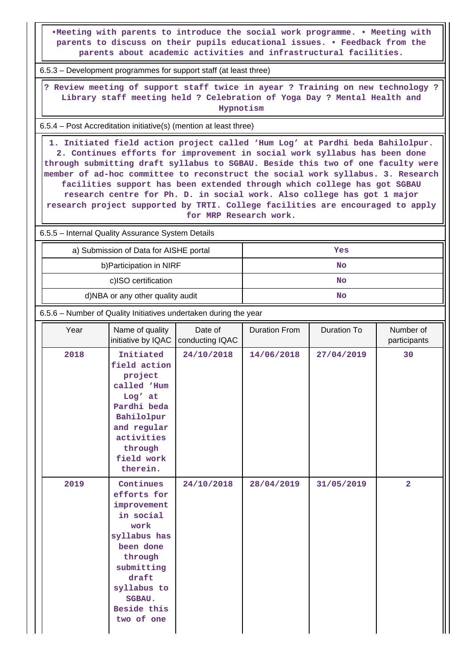**•Meeting with parents to introduce the social work programme. • Meeting with parents to discuss on their pupils educational issues. • Feedback from the parents about academic activities and infrastructural facilities.**

6.5.3 – Development programmes for support staff (at least three)

 **? Review meeting of support staff twice in ayear ? Training on new technology ? Library staff meeting held ? Celebration of Yoga Day ? Mental Health and Hypnotism**

6.5.4 – Post Accreditation initiative(s) (mention at least three)

 **1. Initiated field action project called 'Hum Log' at Pardhi beda Bahilolpur. 2. Continues efforts for improvement in social work syllabus has been done through submitting draft syllabus to SGBAU. Beside this two of one faculty were member of ad-hoc committee to reconstruct the social work syllabus. 3. Research facilities support has been extended through which college has got SGBAU research centre for Ph. D. in social work. Also college has got 1 major research project supported by TRTI. College facilities are encouraged to apply for MRP Research work.**

6.5.5 – Internal Quality Assurance System Details

| a) Submission of Data for AISHE portal | Yes |
|----------------------------------------|-----|
| b) Participation in NIRF               | No  |
| c)ISO certification                    | No  |
| d)NBA or any other quality audit       | No  |

6.5.6 – Number of Quality Initiatives undertaken during the year

| Year | Name of quality<br>initiative by IQAC                                                                                                                                                    | Date of<br>conducting IQAC | <b>Duration From</b> | Duration To | Number of<br>participants |
|------|------------------------------------------------------------------------------------------------------------------------------------------------------------------------------------------|----------------------------|----------------------|-------------|---------------------------|
| 2018 | Initiated<br>field action<br>project<br>called 'Hum<br>Log' at<br>Pardhi beda<br>Bahilolpur<br>and regular<br>activities<br>through<br>field work<br>therein.                            | 24/10/2018                 | 14/06/2018           | 27/04/2019  | 30                        |
| 2019 | Continues<br>efforts for<br>improvement<br>in social<br>work<br>syllabus has<br>been done<br>through<br>submitting<br>draft<br>syllabus to<br><b>SGBAU.</b><br>Beside this<br>two of one | 24/10/2018                 | 28/04/2019           | 31/05/2019  | $\overline{a}$            |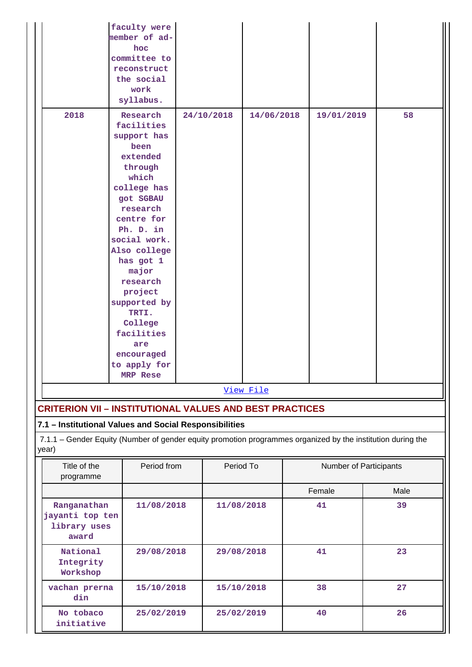|                                                         | faculty were<br>member of ad-<br>hoc<br>committee to<br>reconstruct<br>the social<br>work<br>syllabus.                                                                                                                                                                                                                                  |                          |            |            |            |                        |      |  |  |
|---------------------------------------------------------|-----------------------------------------------------------------------------------------------------------------------------------------------------------------------------------------------------------------------------------------------------------------------------------------------------------------------------------------|--------------------------|------------|------------|------------|------------------------|------|--|--|
| 2018                                                    | Research<br>facilities<br>support has<br>been<br>extended<br>through<br>which<br>college has<br>got SGBAU<br>research<br>centre for<br>Ph. D. in<br>social work.<br>Also college<br>has got 1<br>major<br>research<br>project<br>supported by<br>TRTI.<br>College<br>facilities<br>are<br>encouraged<br>to apply for<br><b>MRP Rese</b> | 24/10/2018<br>14/06/2018 |            |            | 19/01/2019 | 58                     |      |  |  |
|                                                         |                                                                                                                                                                                                                                                                                                                                         |                          |            | View File  |            |                        |      |  |  |
| year)                                                   | <b>CRITERION VII - INSTITUTIONAL VALUES AND BEST PRACTICES</b><br>7.1 - Institutional Values and Social Responsibilities<br>7.1.1 - Gender Equity (Number of gender equity promotion programmes organized by the institution during the                                                                                                 |                          |            |            |            |                        |      |  |  |
| Title of the<br>programme                               | Period from                                                                                                                                                                                                                                                                                                                             |                          |            | Period To  |            | Number of Participants |      |  |  |
|                                                         |                                                                                                                                                                                                                                                                                                                                         |                          |            |            |            | Female                 | Male |  |  |
| Ranganathan<br>jayanti top ten<br>library uses<br>award | 11/08/2018                                                                                                                                                                                                                                                                                                                              |                          |            | 11/08/2018 |            | 41                     | 39   |  |  |
| National<br>Integrity<br>Workshop                       | 29/08/2018                                                                                                                                                                                                                                                                                                                              |                          |            | 29/08/2018 |            | 41                     | 23   |  |  |
| vachan prerna<br>din                                    | 15/10/2018                                                                                                                                                                                                                                                                                                                              |                          |            | 15/10/2018 |            | 38                     | 27   |  |  |
| No tobaco<br>initiative                                 | 25/02/2019                                                                                                                                                                                                                                                                                                                              |                          | 25/02/2019 |            |            | 40                     | 26   |  |  |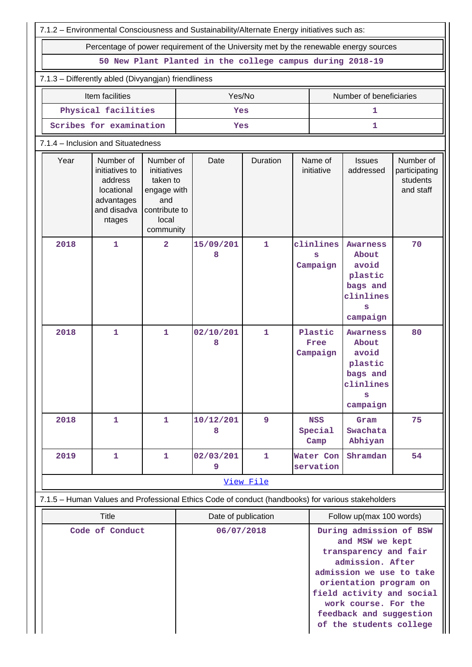| 7.1.2 - Environmental Consciousness and Sustainability/Alternate Energy initiatives such as:      |                                                                                             |                                                                                                   |  |                                                           |              |  |                                                                                                                                                                                                                                                          |                                                                                        |                                                     |  |
|---------------------------------------------------------------------------------------------------|---------------------------------------------------------------------------------------------|---------------------------------------------------------------------------------------------------|--|-----------------------------------------------------------|--------------|--|----------------------------------------------------------------------------------------------------------------------------------------------------------------------------------------------------------------------------------------------------------|----------------------------------------------------------------------------------------|-----------------------------------------------------|--|
| Percentage of power requirement of the University met by the renewable energy sources             |                                                                                             |                                                                                                   |  |                                                           |              |  |                                                                                                                                                                                                                                                          |                                                                                        |                                                     |  |
|                                                                                                   |                                                                                             |                                                                                                   |  | 50 New Plant Planted in the college campus during 2018-19 |              |  |                                                                                                                                                                                                                                                          |                                                                                        |                                                     |  |
| 7.1.3 - Differently abled (Divyangjan) friendliness                                               |                                                                                             |                                                                                                   |  |                                                           |              |  |                                                                                                                                                                                                                                                          |                                                                                        |                                                     |  |
|                                                                                                   | Item facilities<br>Yes/No<br>Number of beneficiaries                                        |                                                                                                   |  |                                                           |              |  |                                                                                                                                                                                                                                                          |                                                                                        |                                                     |  |
|                                                                                                   | Physical facilities<br>Yes<br>1                                                             |                                                                                                   |  |                                                           |              |  |                                                                                                                                                                                                                                                          |                                                                                        |                                                     |  |
|                                                                                                   | Scribes for examination<br>1<br>Yes                                                         |                                                                                                   |  |                                                           |              |  |                                                                                                                                                                                                                                                          |                                                                                        |                                                     |  |
| 7.1.4 – Inclusion and Situatedness                                                                |                                                                                             |                                                                                                   |  |                                                           |              |  |                                                                                                                                                                                                                                                          |                                                                                        |                                                     |  |
| Year                                                                                              | Number of<br>initiatives to<br>address<br>locational<br>advantages<br>and disadva<br>ntages | Number of<br>initiatives<br>taken to<br>engage with<br>and<br>contribute to<br>local<br>community |  | Date                                                      | Duration     |  | Name of<br>initiative                                                                                                                                                                                                                                    | <b>Issues</b><br>addressed                                                             | Number of<br>participating<br>students<br>and staff |  |
| 2018                                                                                              | $\mathbf{1}$                                                                                | $\overline{2}$                                                                                    |  | 15/09/201<br>8                                            | 1            |  | clinlines<br>s<br>Campaign                                                                                                                                                                                                                               | <b>Awarness</b><br>About<br>avoid<br>plastic<br>bags and<br>clinlines<br>campaign      | 70                                                  |  |
| 2018                                                                                              | $\mathbf{1}$                                                                                | $\mathbf{1}$                                                                                      |  | 02/10/201<br>8                                            | $\mathbf{1}$ |  | Plastic<br>Free<br>Campaign                                                                                                                                                                                                                              | <b>Awarness</b><br>About<br>avoid<br>plastic<br>bags and<br>clinlines<br>s<br>campaign | 80                                                  |  |
| 2018                                                                                              | $\mathbf{1}$                                                                                | 1                                                                                                 |  | 10/12/201<br>8                                            | 9            |  | <b>NSS</b><br>Special<br>Camp                                                                                                                                                                                                                            | Gram<br>Swachata<br>Abhiyan                                                            | 75                                                  |  |
| 2019                                                                                              | $\mathbf{1}$                                                                                | $\mathbf{1}$                                                                                      |  | 02/03/201<br>9                                            | 1            |  | Water Con<br>servation                                                                                                                                                                                                                                   | Shramdan                                                                               | 54                                                  |  |
|                                                                                                   |                                                                                             |                                                                                                   |  |                                                           | View File    |  |                                                                                                                                                                                                                                                          |                                                                                        |                                                     |  |
| 7.1.5 - Human Values and Professional Ethics Code of conduct (handbooks) for various stakeholders |                                                                                             |                                                                                                   |  |                                                           |              |  |                                                                                                                                                                                                                                                          |                                                                                        |                                                     |  |
|                                                                                                   | <b>Title</b>                                                                                |                                                                                                   |  | Date of publication                                       |              |  |                                                                                                                                                                                                                                                          | Follow up(max 100 words)                                                               |                                                     |  |
| Code of Conduct                                                                                   |                                                                                             |                                                                                                   |  | 06/07/2018                                                |              |  | During admission of BSW<br>and MSW we kept<br>transparency and fair<br>admission. After<br>admission we use to take<br>orientation program on<br>field activity and social<br>work course. For the<br>feedback and suggestion<br>of the students college |                                                                                        |                                                     |  |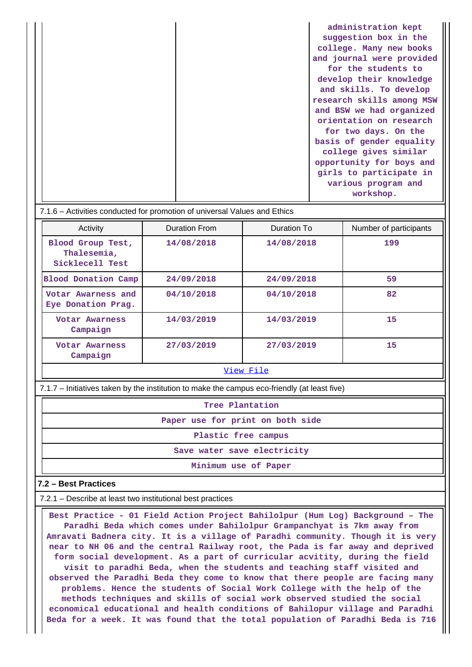| administration kept       |
|---------------------------|
| suggestion box in the     |
| college. Many new books   |
| and journal were provided |
| for the students to       |
| develop their knowledge   |
| and skills. To develop    |
| research skills among MSW |
| and BSW we had organized  |
| orientation on research   |
| for two days. On the      |
| basis of gender equality  |
| college gives similar     |
| opportunity for boys and  |
| girls to participate in   |
| various program and       |
| workshop.                 |

### 7.1.6 – Activities conducted for promotion of universal Values and Ethics

| Activity                                            | <b>Duration From</b> | Duration To | Number of participants |  |  |  |  |
|-----------------------------------------------------|----------------------|-------------|------------------------|--|--|--|--|
| Blood Group Test,<br>Thalesemia,<br>Sicklecell Test | 14/08/2018           | 14/08/2018  | 199                    |  |  |  |  |
| <b>Blood Donation Camp</b>                          | 24/09/2018           | 24/09/2018  | 59                     |  |  |  |  |
| Votar Awarness and<br>Eye Donation Prag.            | 04/10/2018           | 04/10/2018  | 82                     |  |  |  |  |
| Votar Awarness<br>Campaign                          | 14/03/2019           | 14/03/2019  | 15                     |  |  |  |  |
| Votar Awarness<br>Campaign                          | 27/03/2019           | 27/03/2019  | 15                     |  |  |  |  |
| View File                                           |                      |             |                        |  |  |  |  |

7.1.7 – Initiatives taken by the institution to make the campus eco-friendly (at least five)

**Tree Plantation**

**Paper use for print on both side**

**Plastic free campus**

**Save water save electricity**

**Minimum use of Paper**

### **7.2 – Best Practices**

7.2.1 – Describe at least two institutional best practices

 **Best Practice - 01 Field Action Project Bahilolpur (Hum Log) Background – The Paradhi Beda which comes under Bahilolpur Grampanchyat is 7km away from Amravati Badnera city. It is a village of Paradhi community. Though it is very near to NH 06 and the central Railway root, the Pada is far away and deprived form social development. As a part of curricular acvitity, during the field visit to paradhi Beda, when the students and teaching staff visited and observed the Paradhi Beda they come to know that there people are facing many problems. Hence the students of Social Work College with the help of the methods techniques and skills of social work observed studied the social economical educational and health conditions of Bahilopur village and Paradhi Beda for a week. It was found that the total population of Paradhi Beda is 716**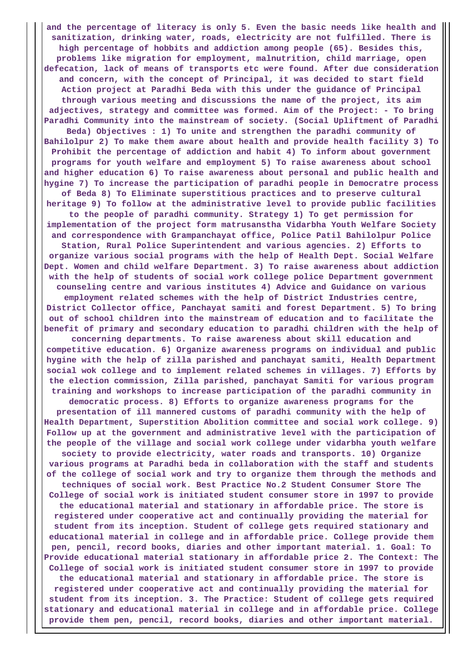**and the percentage of literacy is only 5. Even the basic needs like health and sanitization, drinking water, roads, electricity are not fulfilled. There is high percentage of hobbits and addiction among people (65). Besides this, problems like migration for employment, malnutrition, child marriage, open defecation, lack of means of transports etc were found. After due consideration and concern, with the concept of Principal, it was decided to start field Action project at Paradhi Beda with this under the guidance of Principal through various meeting and discussions the name of the project, its aim adjectives, strategy and committee was formed. Aim of the Project: - To bring Paradhi Community into the mainstream of society. (Social Upliftment of Paradhi Beda) Objectives : 1) To unite and strengthen the paradhi community of Bahilolpur 2) To make them aware about health and provide health facility 3) To Prohibit the percentage of addiction and habit 4) To inform about government programs for youth welfare and employment 5) To raise awareness about school and higher education 6) To raise awareness about personal and public health and hygine 7) To increase the participation of paradhi people in Democratre process of Beda 8) To Eliminate superstitious practices and to preserve cultural heritage 9) To follow at the administrative level to provide public facilities to the people of paradhi community. Strategy 1) To get permission for implementation of the project form matrusanstha Vidarbha Youth Welfare Society and correspondence with Grampanchayat office, Police Patil Bahilolpur Police Station, Rural Police Superintendent and various agencies. 2) Efforts to organize various social programs with the help of Health Dept. Social Welfare Dept. Women and child welfare Department. 3) To raise awareness about addiction with the help of students of social work college police Department government counseling centre and various institutes 4) Advice and Guidance on various employment related schemes with the help of District Industries centre, District Collector office, Panchayat samiti and forest Department. 5) To bring out of school children into the mainstream of education and to facilitate the benefit of primary and secondary education to paradhi children with the help of concerning departments. To raise awareness about skill education and competitive education. 6) Organize awareness programs on individual and public hygine with the help of zilla parished and panchayat samiti, Health Department social wok college and to implement related schemes in villages. 7) Efforts by the election commission, Zilla parished, panchayat Samiti for various program training and workshops to increase participation of the paradhi community in democratic process. 8) Efforts to organize awareness programs for the presentation of ill mannered customs of paradhi community with the help of Health Department, Superstition Abolition committee and social work college. 9) Follow up at the government and administrative level with the participation of the people of the village and social work college under vidarbha youth welfare society to provide electricity, water roads and transports. 10) Organize various programs at Paradhi beda in collaboration with the staff and students of the college of social work and try to organize them through the methods and techniques of social work. Best Practice No.2 Student Consumer Store The College of social work is initiated student consumer store in 1997 to provide the educational material and stationary in affordable price. The store is registered under cooperative act and continually providing the material for student from its inception. Student of college gets required stationary and educational material in college and in affordable price. College provide them pen, pencil, record books, diaries and other important material. 1. Goal: To Provide educational material stationary in affordable price 2. The Context: The College of social work is initiated student consumer store in 1997 to provide the educational material and stationary in affordable price. The store is registered under cooperative act and continually providing the material for student from its inception. 3. The Practice: Student of college gets required stationary and educational material in college and in affordable price. College provide them pen, pencil, record books, diaries and other important material.**